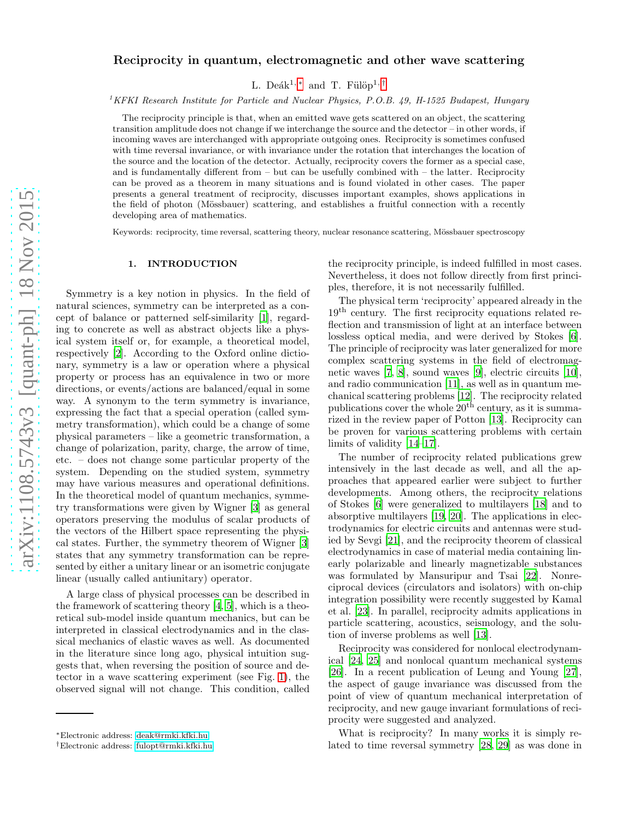# Reciprocity in quantum, electromagnetic and other wave scattering

L. Deák<sup>1, [∗](#page-0-0)</sup> and T. Fülöp<sup>1,[†](#page-0-1)</sup>

<sup>1</sup>*KFKI Research Institute for Particle and Nuclear Physics, P.O.B. 49, H-1525 Budapest, Hungary*

The reciprocity principle is that, when an emitted wave gets scattered on an object, the scattering transition amplitude does not change if we interchange the source and the detector – in other words, if incoming waves are interchanged with appropriate outgoing ones. Reciprocity is sometimes confused with time reversal invariance, or with invariance under the rotation that interchanges the location of the source and the location of the detector. Actually, reciprocity covers the former as a special case, and is fundamentally different from  $-$  but can be usefully combined with  $-$  the latter. Reciprocity can be proved as a theorem in many situations and is found violated in other cases. The paper presents a general treatment of reciprocity, discusses important examples, shows applications in the field of photon (Mössbauer) scattering, and establishes a fruitful connection with a recently developing area of mathematics.

Keywords: reciprocity, time reversal, scattering theory, nuclear resonance scattering, Mössbauer spectroscopy

### 1. INTRODUCTION

Symmetry is a key notion in physics. In the field of natural sciences, symmetry can be interpreted as a concept of balance or patterned self-similarity [\[1\]](#page-16-0), regarding to concrete as well as abstract objects like a physical system itself or, for example, a theoretical model, respectively [\[2\]](#page-16-1). According to the Oxford online dictionary, symmetry is a law or operation where a physical property or process has an equivalence in two or more directions, or events/actions are balanced/equal in some way. A synonym to the term symmetry is invariance, expressing the fact that a special operation (called symmetry transformation), which could be a change of some physical parameters – like a geometric transformation, a change of polarization, parity, charge, the arrow of time, etc. – does not change some particular property of the system. Depending on the studied system, symmetry may have various measures and operational definitions. In the theoretical model of quantum mechanics, symmetry transformations were given by Wigner [\[3](#page-16-2)] as general operators preserving the modulus of scalar products of the vectors of the Hilbert space representing the physical states. Further, the symmetry theorem of Wigner [\[3](#page-16-2)] states that any symmetry transformation can be represented by either a unitary linear or an isometric conjugate linear (usually called antiunitary) operator.

A large class of physical processes can be described in the framework of scattering theory [\[4](#page-16-3), [5\]](#page-16-4), which is a theoretical sub-model inside quantum mechanics, but can be interpreted in classical electrodynamics and in the classical mechanics of elastic waves as well. As documented in the literature since long ago, physical intuition suggests that, when reversing the position of source and detector in a wave scattering experiment (see Fig. [1\)](#page-18-0), the observed signal will not change. This condition, called

the reciprocity principle, is indeed fulfilled in most cases. Nevertheless, it does not follow directly from first principles, therefore, it is not necessarily fulfilled.

The physical term 'reciprocity' appeared already in the 19th century. The first reciprocity equations related reflection and transmission of light at an interface between lossless optical media, and were derived by Stokes [\[6\]](#page-16-5). The principle of reciprocity was later generalized for more complex scattering systems in the field of electromagnetic waves [\[7](#page-16-6), [8\]](#page-16-7), sound waves [\[9\]](#page-16-8), electric circuits [\[10\]](#page-16-9), and radio communication [\[11](#page-16-10)], as well as in quantum mechanical scattering problems [\[12](#page-16-11)]. The reciprocity related publications cover the whole  $20<sup>th</sup>$  century, as it is summarized in the review paper of Potton [\[13\]](#page-16-12). Reciprocity can be proven for various scattering problems with certain limits of validity [\[14](#page-16-13)[–17\]](#page-16-14).

The number of reciprocity related publications grew intensively in the last decade as well, and all the approaches that appeared earlier were subject to further developments. Among others, the reciprocity relations of Stokes [\[6](#page-16-5)] were generalized to multilayers [\[18\]](#page-16-15) and to absorptive multilayers [\[19,](#page-16-16) [20](#page-16-17)]. The applications in electrodynamics for electric circuits and antennas were studied by Sevgi [\[21\]](#page-16-18), and the reciprocity theorem of classical electrodynamics in case of material media containing linearly polarizable and linearly magnetizable substances was formulated by Mansuripur and Tsai [\[22\]](#page-16-19). Nonreciprocal devices (circulators and isolators) with on-chip integration possibility were recently suggested by Kamal et al. [\[23](#page-16-20)]. In parallel, reciprocity admits applications in particle scattering, acoustics, seismology, and the solution of inverse problems as well [\[13\]](#page-16-12).

Reciprocity was considered for nonlocal electrodynamical [\[24,](#page-16-21) [25\]](#page-16-22) and nonlocal quantum mechanical systems [\[26\]](#page-16-23). In a recent publication of Leung and Young [\[27\]](#page-16-24), the aspect of gauge invariance was discussed from the point of view of quantum mechanical interpretation of reciprocity, and new gauge invariant formulations of reciprocity were suggested and analyzed.

What is reciprocity? In many works it is simply related to time reversal symmetry [\[28,](#page-16-25) [29](#page-16-26)] as was done in

<span id="page-0-0"></span><sup>∗</sup>Electronic address: [deak@rmki.kfki.hu](mailto:deak@rmki.kfki.hu)

<span id="page-0-1"></span><sup>†</sup>Electronic address: [fulopt@rmki.kfki.hu](mailto:fulopt@rmki.kfki.hu)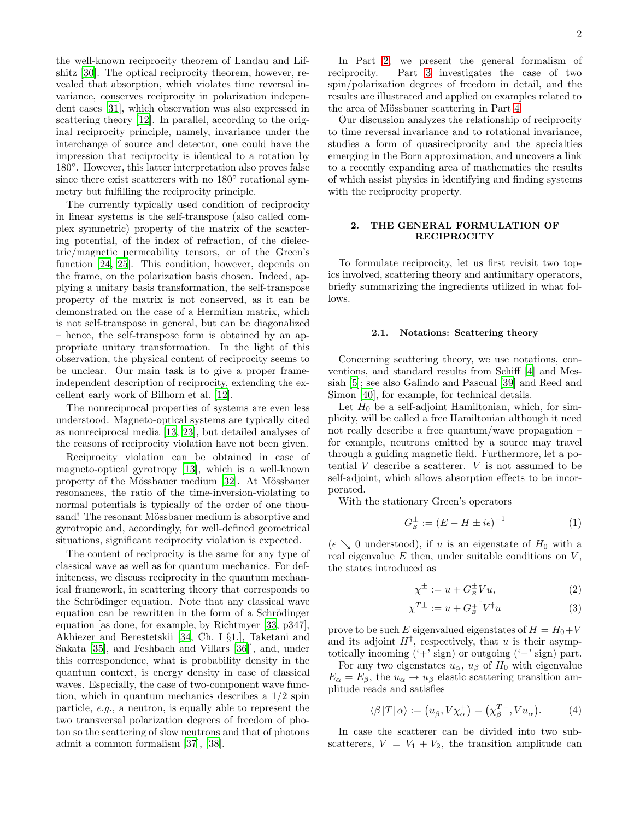the well-known reciprocity theorem of Landau and Lifshitz [\[30\]](#page-16-27). The optical reciprocity theorem, however, revealed that absorption, which violates time reversal invariance, conserves reciprocity in polarization independent cases [\[31\]](#page-16-28), which observation was also expressed in scattering theory [\[12](#page-16-11)]. In parallel, according to the original reciprocity principle, namely, invariance under the interchange of source and detector, one could have the impression that reciprocity is identical to a rotation by 180◦ . However, this latter interpretation also proves false since there exist scatterers with no 180° rotational symmetry but fulfilling the reciprocity principle.

The currently typically used condition of reciprocity in linear systems is the self-transpose (also called complex symmetric) property of the matrix of the scattering potential, of the index of refraction, of the dielectric/magnetic permeability tensors, or of the Green's function [\[24,](#page-16-21) [25\]](#page-16-22). This condition, however, depends on the frame, on the polarization basis chosen. Indeed, applying a unitary basis transformation, the self-transpose property of the matrix is not conserved, as it can be demonstrated on the case of a Hermitian matrix, which is not self-transpose in general, but can be diagonalized – hence, the self-transpose form is obtained by an appropriate unitary transformation. In the light of this observation, the physical content of reciprocity seems to be unclear. Our main task is to give a proper frameindependent description of reciprocity, extending the excellent early work of Bilhorn et al. [\[12\]](#page-16-11).

The nonreciprocal properties of systems are even less understood. Magneto-optical systems are typically cited as nonreciprocal media [\[13,](#page-16-12) [23\]](#page-16-20), but detailed analyses of the reasons of reciprocity violation have not been given.

Reciprocity violation can be obtained in case of magneto-optical gyrotropy [\[13\]](#page-16-12), which is a well-known property of the Mössbauer medium [\[32](#page-16-29)]. At Mössbauer resonances, the ratio of the time-inversion-violating to normal potentials is typically of the order of one thousand! The resonant Mössbauer medium is absorptive and gyrotropic and, accordingly, for well-defined geometrical situations, significant reciprocity violation is expected.

The content of reciprocity is the same for any type of classical wave as well as for quantum mechanics. For definiteness, we discuss reciprocity in the quantum mechanical framework, in scattering theory that corresponds to the Schrödinger equation. Note that any classical wave equation can be rewritten in the form of a Schrödinger equation [as done, for example, by Richtmyer [\[33](#page-16-30), p347], Akhiezer and Berestetskii [\[34](#page-16-31), Ch. I §1.], Taketani and Sakata [\[35\]](#page-16-32), and Feshbach and Villars [\[36\]](#page-16-33)], and, under this correspondence, what is probability density in the quantum context, is energy density in case of classical waves. Especially, the case of two-component wave function, which in quantum mechanics describes a 1/2 spin particle, e.g., a neutron, is equally able to represent the two transversal polarization degrees of freedom of photon so the scattering of slow neutrons and that of photons admit a common formalism [\[37\]](#page-16-34), [\[38\]](#page-16-35).

In Part [2,](#page-1-0) we present the general formalism of reciprocity. Part [3](#page-6-0) investigates the case of two spin/polarization degrees of freedom in detail, and the results are illustrated and applied on examples related to the area of Mössbauer scattering in Part [4.](#page-13-0)

Our discussion analyzes the relationship of reciprocity to time reversal invariance and to rotational invariance, studies a form of quasireciprocity and the specialties emerging in the Born approximation, and uncovers a link to a recently expanding area of mathematics the results of which assist physics in identifying and finding systems with the reciprocity property.

### <span id="page-1-0"></span>2. THE GENERAL FORMULATION OF RECIPROCITY

To formulate reciprocity, let us first revisit two topics involved, scattering theory and antiunitary operators, briefly summarizing the ingredients utilized in what follows.

### <span id="page-1-5"></span>2.1. Notations: Scattering theory

Concerning scattering theory, we use notations, conventions, and standard results from Schiff [\[4](#page-16-3)] and Messiah [\[5](#page-16-4)]; see also Galindo and Pascual [\[39\]](#page-16-36) and Reed and Simon [\[40](#page-17-0)], for example, for technical details.

Let  $H_0$  be a self-adjoint Hamiltonian, which, for simplicity, will be called a free Hamiltonian although it need not really describe a free quantum/wave propagation – for example, neutrons emitted by a source may travel through a guiding magnetic field. Furthermore, let a potential  $V$  describe a scatterer.  $V$  is not assumed to be self-adjoint, which allows absorption effects to be incorporated.

With the stationary Green's operators

<span id="page-1-2"></span>
$$
G_E^{\pm} := (E - H \pm i\epsilon)^{-1} \tag{1}
$$

 $(\epsilon \searrow 0$  understood), if u is an eigenstate of  $H_0$  with a real eigenvalue  $E$  then, under suitable conditions on  $V$ , the states introduced as

<span id="page-1-4"></span><span id="page-1-3"></span>
$$
\chi^{\pm} := u + G_E^{\pm} V u,\tag{2}
$$

$$
\chi^{T\pm} := u + G_E^{\mp \dagger} V^{\dagger} u \tag{3}
$$

prove to be such E eigenvalued eigenstates of  $H = H_0 + V$ and its adjoint  $H^{\dagger}$ , respectively, that u is their asymptotically incoming  $(·+′$  sign) or outgoing  $(·-′$  sign) part.

For any two eigenstates  $u_{\alpha}$ ,  $u_{\beta}$  of  $H_0$  with eigenvalue  $E_{\alpha} = E_{\beta}$ , the  $u_{\alpha} \rightarrow u_{\beta}$  elastic scattering transition amplitude reads and satisfies

<span id="page-1-1"></span>
$$
\langle \beta | T | \alpha \rangle := \left( u_{\beta}, V \chi_{\alpha}^{+} \right) = \left( \chi_{\beta}^{T-}, V u_{\alpha} \right). \tag{4}
$$

In case the scatterer can be divided into two subscatterers,  $V = V_1 + V_2$ , the transition amplitude can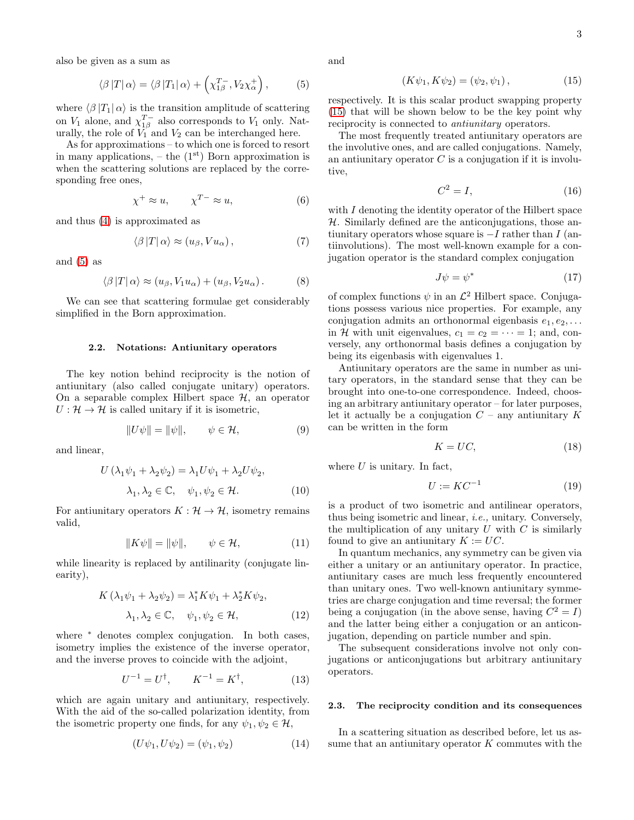3

also be given as a sum as

<span id="page-2-0"></span>
$$
\langle \beta | T | \alpha \rangle = \langle \beta | T_1 | \alpha \rangle + \left( \chi_{1\beta}^{T_{-}}, V_2 \chi_{\alpha}^{+} \right), \tag{5}
$$

where  $\langle \beta | T_1 | \alpha \rangle$  is the transition amplitude of scattering on  $V_1$  alone, and  $\chi_{1\beta}^{T-}$  also corresponds to  $V_1$  only. Naturally, the role of  $V_1^{\rho}$  and  $V_2$  can be interchanged here.

As for approximations – to which one is forced to resort in many applications,  $-$  the  $(1<sup>st</sup>)$  Born approximation is when the scattering solutions are replaced by the corresponding free ones,

<span id="page-2-7"></span>
$$
\chi^+ \approx u, \qquad \chi^{T-} \approx u,\tag{6}
$$

and thus [\(4\)](#page-1-1) is approximated as

$$
\langle \beta | T | \alpha \rangle \approx (u_{\beta}, V u_{\alpha}), \qquad (7)
$$

and  $(5)$  as

<span id="page-2-5"></span>
$$
\langle \beta | T | \alpha \rangle \approx (u_{\beta}, V_1 u_{\alpha}) + (u_{\beta}, V_2 u_{\alpha}). \tag{8}
$$

We can see that scattering formulae get considerably simplified in the Born approximation.

#### <span id="page-2-2"></span>2.2. Notations: Antiunitary operators

The key notion behind reciprocity is the notion of antiunitary (also called conjugate unitary) operators. On a separable complex Hilbert space  $H$ , an operator  $U: \mathcal{H} \to \mathcal{H}$  is called unitary if it is isometric,

$$
||U\psi|| = ||\psi||, \qquad \psi \in \mathcal{H}, \tag{9}
$$

and linear,

$$
U(\lambda_1 \psi_1 + \lambda_2 \psi_2) = \lambda_1 U \psi_1 + \lambda_2 U \psi_2,
$$
  

$$
\lambda_1, \lambda_2 \in \mathbb{C}, \quad \psi_1, \psi_2 \in \mathcal{H}.
$$
 (10)

For antiunitary operators  $K : \mathcal{H} \to \mathcal{H}$ , isometry remains valid,

$$
||K\psi|| = ||\psi||, \qquad \psi \in \mathcal{H}, \tag{11}
$$

while linearity is replaced by antilinarity (conjugate linearity),

$$
K\left(\lambda_{1}\psi_{1} + \lambda_{2}\psi_{2}\right) = \lambda_{1}^{*}K\psi_{1} + \lambda_{2}^{*}K\psi_{2},
$$

$$
\lambda_{1}, \lambda_{2} \in \mathbb{C}, \quad \psi_{1}, \psi_{2} \in \mathcal{H}, \tag{12}
$$

where <sup>∗</sup> denotes complex conjugation. In both cases, isometry implies the existence of the inverse operator, and the inverse proves to coincide with the adjoint,

$$
U^{-1} = U^{\dagger}, \qquad K^{-1} = K^{\dagger}, \tag{13}
$$

which are again unitary and antiunitary, respectively. With the aid of the so-called polarization identity, from the isometric property one finds, for any  $\psi_1, \psi_2 \in \mathcal{H}$ ,

$$
(U\psi_1, U\psi_2) = (\psi_1, \psi_2) \tag{14}
$$

and

<span id="page-2-1"></span>
$$
(K\psi_1, K\psi_2) = (\psi_2, \psi_1), \tag{15}
$$

respectively. It is this scalar product swapping property [\(15\)](#page-2-1) that will be shown below to be the key point why reciprocity is connected to antiunitary operators.

The most frequently treated antiunitary operators are the involutive ones, and are called conjugations. Namely, an antiunitary operator  $C$  is a conjugation if it is involutive,

$$
C^2 = I,\t\t(16)
$$

with  $I$  denoting the identity operator of the Hilbert space  $H$ . Similarly defined are the anticonjugations, those antiunitary operators whose square is  $-I$  rather than  $I$  (antiinvolutions). The most well-known example for a conjugation operator is the standard complex conjugation

<span id="page-2-4"></span>
$$
J\psi = \psi^* \tag{17}
$$

of complex functions  $\psi$  in an  $\mathcal{L}^2$  Hilbert space. Conjugations possess various nice properties. For example, any conjugation admits an orthonormal eigenbasis  $e_1, e_2, \ldots$ in H with unit eigenvalues,  $c_1 = c_2 = \cdots = 1$ ; and, conversely, any orthonormal basis defines a conjugation by being its eigenbasis with eigenvalues 1.

Antiunitary operators are the same in number as unitary operators, in the standard sense that they can be brought into one-to-one correspondence. Indeed, choosing an arbitrary antiunitary operator – for later purposes, let it actually be a conjugation  $C$  – any antiunitary  $K$ can be written in the form

<span id="page-2-3"></span>
$$
K = UC,\t\t(18)
$$

where  $U$  is unitary. In fact,

$$
U := KC^{-1} \tag{19}
$$

is a product of two isometric and antilinear operators, thus being isometric and linear, i.e., unitary. Conversely, the multiplication of any unitary  $U$  with  $C$  is similarly found to give an antiunitary  $K := UC$ .

In quantum mechanics, any symmetry can be given via either a unitary or an antiunitary operator. In practice, antiunitary cases are much less frequently encountered than unitary ones. Two well-known antiunitary symmetries are charge conjugation and time reversal; the former being a conjugation (in the above sense, having  $C^2 = I$ ) and the latter being either a conjugation or an anticonjugation, depending on particle number and spin.

The subsequent considerations involve not only conjugations or anticonjugations but arbitrary antiunitary operators.

### <span id="page-2-6"></span>2.3. The reciprocity condition and its consequences

In a scattering situation as described before, let us assume that an antiunitary operator  $K$  commutes with the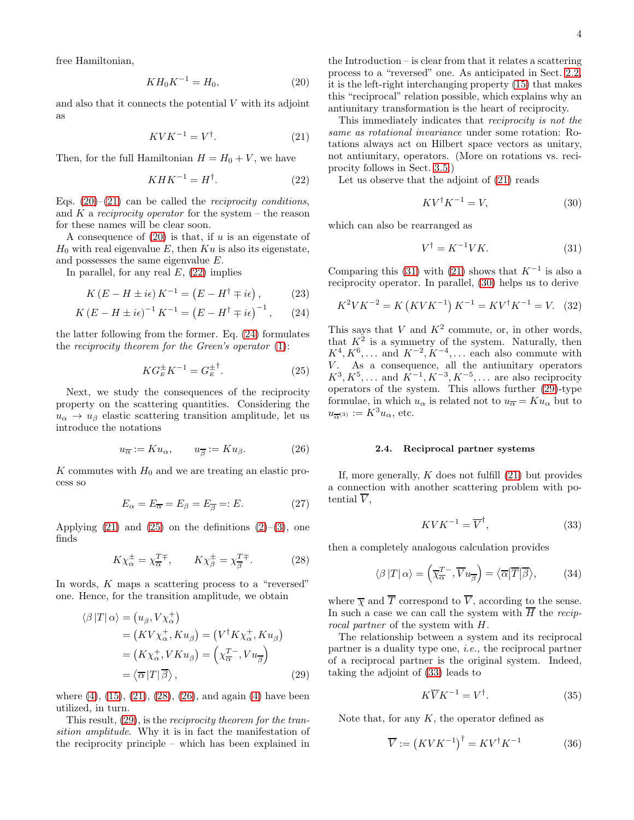free Hamiltonian,

<span id="page-3-0"></span>
$$
KH_0K^{-1} = H_0,\t\t(20)
$$

and also that it connects the potential  $V$  with its adjoint as

<span id="page-3-1"></span>
$$
KVK^{-1} = V^{\dagger}.
$$
 (21)

Then, for the full Hamiltonian  $H = H_0 + V$ , we have

<span id="page-3-2"></span>
$$
KHK^{-1} = H^{\dagger}.
$$
 (22)

Eqs.  $(20)$ – $(21)$  can be called the *reciprocity conditions*, and K a reciprocity operator for the system – the reason for these names will be clear soon.

A consequence of  $(20)$  is that, if u is an eigenstate of  $H_0$  with real eigenvalue E, then Ku is also its eigenstate, and possesses the same eigenvalue E.

In parallel, for any real  $E$ ,  $(22)$  implies

$$
K(E - H \pm i\epsilon) K^{-1} = (E - H^{\dagger} \mp i\epsilon), \qquad (23)
$$

$$
K (E - H \pm i\epsilon)^{-1} K^{-1} = (E - H^{\dagger} \mp i\epsilon)^{-1}, \qquad (24)
$$

the latter following from the former. Eq. [\(24\)](#page-3-3) formulates the reciprocity theorem for the Green's operator  $(1)$ :

<span id="page-3-4"></span>
$$
KG_{E}^{\pm}K^{-1} = G_{E}^{\pm}^{\dagger}.
$$
 (25)

Next, we study the consequences of the reciprocity property on the scattering quantities. Considering the  $u_{\alpha} \rightarrow u_{\beta}$  elastic scattering transition amplitude, let us introduce the notations

<span id="page-3-6"></span>
$$
u_{\overline{\alpha}} := Ku_{\alpha}, \qquad u_{\overline{\beta}} := Ku_{\beta}.
$$
 (26)

K commutes with  $H_0$  and we are treating an elastic process so

$$
E_{\alpha} = E_{\overline{\alpha}} = E_{\beta} = E_{\overline{\beta}} =: E. \tag{27}
$$

Applying  $(21)$  and  $(25)$  on the definitions  $(2)-(3)$  $(2)-(3)$ , one finds

<span id="page-3-5"></span>
$$
K\chi_{\alpha}^{\pm} = \chi_{\alpha}^{T\mp}, \qquad K\chi_{\beta}^{\pm} = \chi_{\beta}^{T\mp}.
$$
 (28)

In words, K maps a scattering process to a "reversed" one. Hence, for the transition amplitude, we obtain

$$
\langle \beta | T | \alpha \rangle = (u_{\beta}, V \chi_{\alpha}^{+})
$$
  
=  $(K V \chi_{\alpha}^{+}, K u_{\beta}) = (V^{\dagger} K \chi_{\alpha}^{+}, K u_{\beta})$   
=  $(K \chi_{\alpha}^{+}, V K u_{\beta}) = (\chi_{\alpha}^{T^{-}}, V u_{\overline{\beta}})$   
=  $\langle \overline{\alpha} | T | \overline{\beta} \rangle$ , (29)

where  $(4)$ ,  $(15)$ ,  $(21)$ ,  $(28)$ ,  $(26)$ , and again  $(4)$  have been utilized, in turn.

This result, [\(29\)](#page-3-7), is the reciprocity theorem for the transition amplitude. Why it is in fact the manifestation of the reciprocity principle – which has been explained in the Introduction – is clear from that it relates a scattering process to a "reversed" one. As anticipated in Sect. [2.2,](#page-2-2) it is the left-right interchanging property [\(15\)](#page-2-1) that makes this "reciprocal" relation possible, which explains why an antiunitary transformation is the heart of reciprocity.

This immediately indicates that reciprocity is not the same as rotational invariance under some rotation: Rotations always act on Hilbert space vectors as unitary, not antiunitary, operators. (More on rotations vs. reciprocity follows in Sect. [3.5.](#page-10-0))

Let us observe that the adjoint of [\(21\)](#page-3-1) reads

<span id="page-3-9"></span>
$$
KV^{\dagger}K^{-1} = V,\t\t(30)
$$

which can also be rearranged as

<span id="page-3-8"></span>
$$
V^{\dagger} = K^{-1}VK.\tag{31}
$$

<span id="page-3-12"></span>Comparing this [\(31\)](#page-3-8) with [\(21\)](#page-3-1) shows that  $K^{-1}$  is also a reciprocity operator. In parallel, [\(30\)](#page-3-9) helps us to derive

$$
K^2VK^{-2} = K\left(KVK^{-1}\right)K^{-1} = KV^{\dagger}K^{-1} = V. \tag{32}
$$

<span id="page-3-3"></span>This says that V and  $K^2$  commute, or, in other words, that  $K^2$  is a symmetry of the system. Naturally, then  $K^4, K^6, \ldots$  and  $K^{-2}, K^{-4}, \ldots$  each also commute with V. As a consequence, all the antiunitary operators  $K^3, K^5, \ldots$  and  $K^{-1}, K^{-3}, K^{-5}, \ldots$  are also reciprocity operators of the system. This allows further [\(29\)](#page-3-7)-type formulae, in which  $u_{\alpha}$  is related not to  $u_{\overline{\alpha}} = K u_{\alpha}$  but to  $u_{\overline{\alpha}(3)} := K^3 u_\alpha$ , etc.

### <span id="page-3-11"></span>2.4. Reciprocal partner systems

If, more generally,  $K$  does not fulfill  $(21)$  but provides a connection with another scattering problem with potential  $V$ ,

<span id="page-3-10"></span>
$$
KVK^{-1} = \overline{V}^{\dagger},\tag{33}
$$

then a completely analogous calculation provides

$$
\langle \beta | T | \alpha \rangle = \left( \overline{\chi}_{\overline{\alpha}}^{T-}, \overline{V} u_{\overline{\beta}} \right) = \langle \overline{\alpha} | \overline{T} | \overline{\beta} \rangle, \tag{34}
$$

where  $\overline{\chi}$  and  $\overline{T}$  correspond to  $\overline{V}$ , according to the sense. In such a case we can call the system with  $\overline{H}$  the reciprocal partner of the system with H.

<span id="page-3-7"></span>The relationship between a system and its reciprocal partner is a duality type one, i.e., the reciprocal partner of a reciprocal partner is the original system. Indeed, taking the adjoint of [\(33\)](#page-3-10) leads to

$$
K\overline{V}K^{-1} = V^{\dagger}.
$$
 (35)

Note that, for any  $K$ , the operator defined as

$$
\overline{V} := \left(KVK^{-1}\right)^{\dagger} = KV^{\dagger}K^{-1} \tag{36}
$$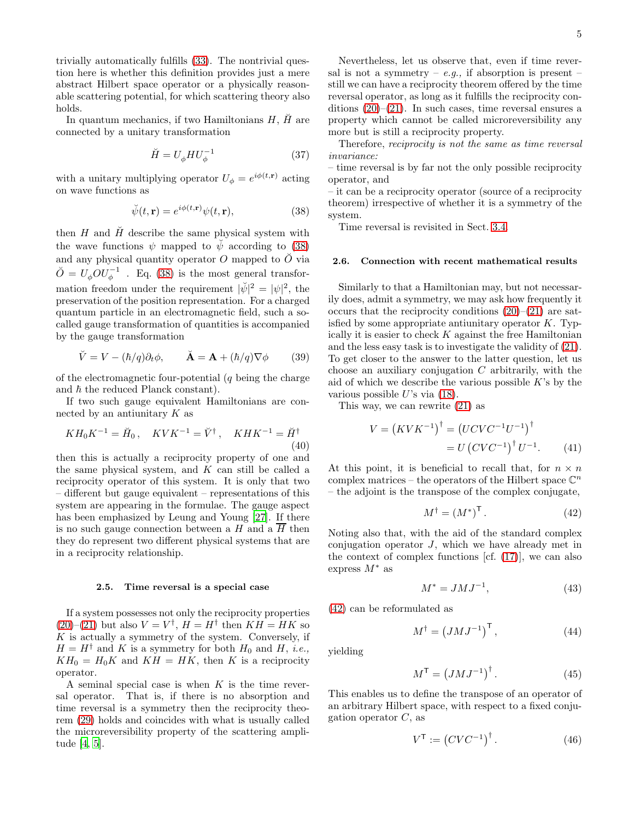trivially automatically fulfills [\(33\)](#page-3-10). The nontrivial question here is whether this definition provides just a mere abstract Hilbert space operator or a physically reasonable scattering potential, for which scattering theory also holds.

In quantum mechanics, if two Hamiltonians  $H$ ,  $\check{H}$  are connected by a unitary transformation

$$
\breve{H} = U_{\phi} H U_{\phi}^{-1} \tag{37}
$$

with a unitary multiplying operator  $U_{\phi} = e^{i\phi(t,\mathbf{r})}$  acting on wave functions as

<span id="page-4-0"></span>
$$
\breve{\psi}(t, \mathbf{r}) = e^{i\phi(t, \mathbf{r})} \psi(t, \mathbf{r}), \tag{38}
$$

then  $H$  and  $\check{H}$  describe the same physical system with the wave functions  $\psi$  mapped to  $\tilde{\psi}$  according to [\(38\)](#page-4-0) and any physical quantity operator  $O$  mapped to  $\tilde{O}$  via  $\breve{O} = U_{\phi} O U_{\phi}^{-1}$  . Eq. [\(38\)](#page-4-0) is the most general transformation freedom under the requirement  $|\psi|^2 = |\psi|^2$ , the preservation of the position representation. For a charged quantum particle in an electromagnetic field, such a socalled gauge transformation of quantities is accompanied by the gauge transformation

<span id="page-4-5"></span>
$$
\breve{V} = V - (\hbar/q)\partial_t \phi, \qquad \breve{A} = A + (\hbar/q)\nabla \phi \qquad (39)
$$

of the electromagnetic four-potential  $(q \text{ being the charge})$ and  $\hbar$  the reduced Planck constant).

If two such gauge equivalent Hamiltonians are connected by an antiunitary  $K$  as

$$
KH_0K^{-1} = \breve{H}_0, \quad KVK^{-1} = \breve{V}^{\dagger}, \quad KHK^{-1} = \breve{H}^{\dagger}
$$
\n(40)

then this is actually a reciprocity property of one and the same physical system, and  $K$  can still be called a reciprocity operator of this system. It is only that two – different but gauge equivalent – representations of this system are appearing in the formulae. The gauge aspect has been emphasized by Leung and Young [\[27\]](#page-16-24). If there is no such gauge connection between a H and a  $\overline{H}$  then they do represent two different physical systems that are in a reciprocity relationship.

#### <span id="page-4-4"></span>2.5. Time reversal is a special case

If a system possesses not only the reciprocity properties  $(20)$ – $(21)$  but also  $V = V^{\dagger}$ ,  $H = H^{\dagger}$  then  $KH = HK$  so  $K$  is actually a symmetry of the system. Conversely, if  $H = H^{\dagger}$  and K is a symmetry for both  $H_0$  and H, *i.e.*,  $KH_0 = H_0K$  and  $KH = HK$ , then K is a reciprocity operator.

A seminal special case is when  $K$  is the time reversal operator. That is, if there is no absorption and time reversal is a symmetry then the reciprocity theorem [\(29\)](#page-3-7) holds and coincides with what is usually called the microreversibility property of the scattering amplitude [\[4](#page-16-3), [5\]](#page-16-4).

Nevertheless, let us observe that, even if time reversal is not a symmetry – e.g., if absorption is present – still we can have a reciprocity theorem offered by the time reversal operator, as long as it fulfills the reciprocity conditions  $(20)$ – $(21)$ . In such cases, time reversal ensures a property which cannot be called microreversibility any more but is still a reciprocity property.

Therefore, reciprocity is not the same as time reversal invariance:

– time reversal is by far not the only possible reciprocity operator, and

– it can be a reciprocity operator (source of a reciprocity theorem) irrespective of whether it is a symmetry of the system.

Time reversal is revisited in Sect. [3.4.](#page-9-0)

### <span id="page-4-3"></span>2.6. Connection with recent mathematical results

Similarly to that a Hamiltonian may, but not necessarily does, admit a symmetry, we may ask how frequently it occurs that the reciprocity conditions  $(20)$ – $(21)$  are satisfied by some appropriate antiunitary operator  $K$ . Typically it is easier to check  $K$  against the free Hamiltonian and the less easy task is to investigate the validity of [\(21\)](#page-3-1). To get closer to the answer to the latter question, let us choose an auxiliary conjugation  $C$  arbitrarily, with the aid of which we describe the various possible  $K$ 's by the various possible  $U$ 's via  $(18)$ .

This way, we can rewrite [\(21\)](#page-3-1) as

$$
V = (KVK^{-1})^{\dagger} = (UCVC^{-1}U^{-1})^{\dagger}
$$
  
= U (CVC^{-1})^{\dagger} U^{-1}. (41)

At this point, it is beneficial to recall that, for  $n \times n$ complex matrices – the operators of the Hilbert space  $\mathbb{C}^n$ – the adjoint is the transpose of the complex conjugate,

<span id="page-4-2"></span><span id="page-4-1"></span>
$$
M^{\dagger} = (M^*)^{\mathsf{T}}.
$$
 (42)

Noting also that, with the aid of the standard complex conjugation operator J, which we have already met in the context of complex functions [cf. [\(17\)](#page-2-4)], we can also express  $M^*$  as

$$
M^* = JMJ^{-1},\tag{43}
$$

[\(42\)](#page-4-1) can be reformulated as

$$
M^{\dagger} = \left( JMJ^{-1} \right)^{\mathsf{T}}, \tag{44}
$$

yielding

$$
M^{\mathsf{T}} = \left( JMJ^{-1} \right)^{\dagger}.
$$
 (45)

This enables us to define the transpose of an operator of an arbitrary Hilbert space, with respect to a fixed conjugation operator  $C$ , as

$$
V^{\mathsf{T}} := \left(CVC^{-1}\right)^{\dagger}.\tag{46}
$$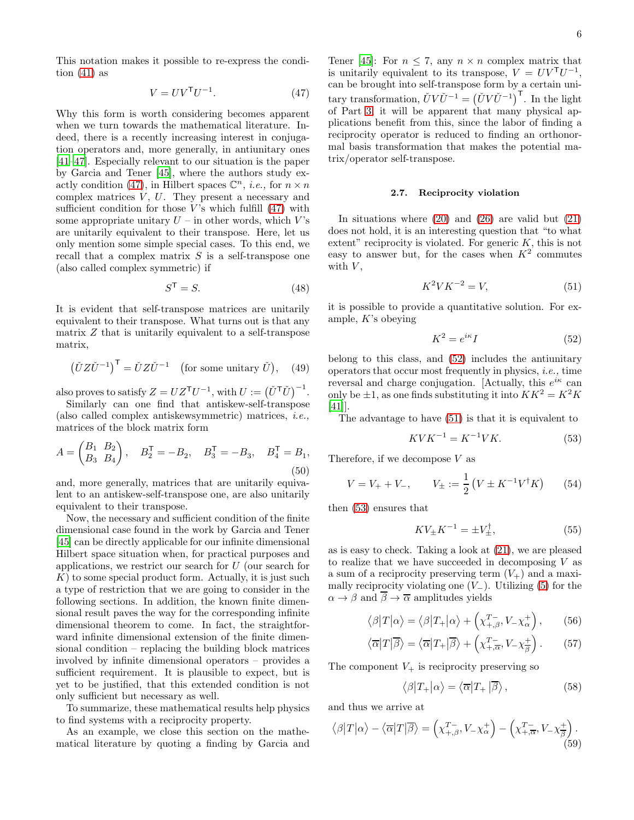This notation makes it possible to re-express the condition  $(41)$  as

<span id="page-5-0"></span>
$$
V = UVTU-1.
$$
 (47)

Why this form is worth considering becomes apparent when we turn towards the mathematical literature. Indeed, there is a recently increasing interest in conjugation operators and, more generally, in antiunitary ones [\[41](#page-17-1)[–47\]](#page-17-2). Especially relevant to our situation is the paper by Garcia and Tener [\[45\]](#page-17-3), where the authors study ex-actly condition [\(47\)](#page-5-0), in Hilbert spaces  $\mathbb{C}^n$ , *i.e.*, for  $n \times n$ complex matrices  $V, U$ . They present a necessary and sufficient condition for those  $V$ 's which fulfill  $(47)$  with some appropriate unitary  $U$  – in other words, which  $V$ 's are unitarily equivalent to their transpose. Here, let us only mention some simple special cases. To this end, we recall that a complex matrix  $S$  is a self-transpose one (also called complex symmetric) if

$$
S^{\mathsf{T}} = S. \tag{48}
$$

It is evident that self-transpose matrices are unitarily equivalent to their transpose. What turns out is that any matrix Z that is unitarily equivalent to a self-transpose matrix,

$$
(\check{U}Z\check{U}^{-1})^{\mathsf{T}} = \check{U}Z\check{U}^{-1} \quad \text{(for some unitary } \check{U}), \quad (49)
$$

also proves to satisfy  $Z = UZ^{\mathsf{T}}U^{-1}$ , with  $U := (\check{U}^{\mathsf{T}}\check{U})^{-1}$ .

Similarly can one find that antiskew-self-transpose (also called complex antiskewsymmetric) matrices, i.e., matrices of the block matrix form

$$
A = \begin{pmatrix} B_1 & B_2 \\ B_3 & B_4 \end{pmatrix}, \quad B_2^{\mathsf{T}} = -B_2, \quad B_3^{\mathsf{T}} = -B_3, \quad B_4^{\mathsf{T}} = B_1,
$$
\n
$$
(50)
$$

and, more generally, matrices that are unitarily equivalent to an antiskew-self-transpose one, are also unitarily equivalent to their transpose.

Now, the necessary and sufficient condition of the finite dimensional case found in the work by Garcia and Tener [\[45\]](#page-17-3) can be directly applicable for our infinite dimensional Hilbert space situation when, for practical purposes and applications, we restrict our search for U (our search for  $K$ ) to some special product form. Actually, it is just such a type of restriction that we are going to consider in the following sections. In addition, the known finite dimensional result paves the way for the corresponding infinite dimensional theorem to come. In fact, the straightforward infinite dimensional extension of the finite dimensional condition – replacing the building block matrices involved by infinite dimensional operators – provides a sufficient requirement. It is plausible to expect, but is yet to be justified, that this extended condition is not only sufficient but necessary as well.

To summarize, these mathematical results help physics to find systems with a reciprocity property.

As an example, we close this section on the mathematical literature by quoting a finding by Garcia and

Tener [\[45\]](#page-17-3): For  $n \leq 7$ , any  $n \times n$  complex matrix that is unitarily equivalent to its transpose,  $V = UV<sup>T</sup>U<sup>-1</sup>$ , can be brought into self-transpose form by a certain unitary transformation,  $\check{U}V\check{U}^{-1} = (\check{U}V\check{U}^{-1})^{\mathsf{T}}$ . In the light of Part [3,](#page-6-0) it will be apparent that many physical applications benefit from this, since the labor of finding a reciprocity operator is reduced to finding an orthonormal basis transformation that makes the potential matrix/operator self-transpose.

# <span id="page-5-5"></span>2.7. Reciprocity violation

In situations where  $(20)$  and  $(26)$  are valid but  $(21)$ does not hold, it is an interesting question that "to what extent" reciprocity is violated. For generic  $K$ , this is not easy to answer but, for the cases when  $K^2$  commutes with  $\boldsymbol{V},$ 

<span id="page-5-2"></span>
$$
K^2VK^{-2} = V,\tag{51}
$$

it is possible to provide a quantitative solution. For example, K's obeying

<span id="page-5-1"></span>
$$
K^2 = e^{i\kappa}I\tag{52}
$$

belong to this class, and [\(52\)](#page-5-1) includes the antiunitary operators that occur most frequently in physics, *i.e.*, time reversal and charge conjugation. [Actually, this  $e^{i\kappa}$  can only be  $\pm 1$ , as one finds substituting it into  $KK^2 = K^2K$ [\[41\]](#page-17-1)].

The advantage to have [\(51\)](#page-5-2) is that it is equivalent to

<span id="page-5-3"></span>
$$
KVK^{-1} = K^{-1}VK.
$$
 (53)

Therefore, if we decompose  $V$  as

$$
V = V_{+} + V_{-}, \qquad V_{\pm} := \frac{1}{2} \left( V \pm K^{-1} V^{\dagger} K \right) \tag{54}
$$

then [\(53\)](#page-5-3) ensures that

$$
KV_{\pm}K^{-1} = \pm V_{\pm}^{\dagger},\tag{55}
$$

as is easy to check. Taking a look at [\(21\)](#page-3-1), we are pleased to realize that we have succeeded in decomposing  $V$  as a sum of a reciprocity preserving term  $(V_+)$  and a maximally reciprocity violating one  $(V_$ ). Utilizing [\(5\)](#page-2-0) for the  $\alpha \to \beta$  and  $\overline{\beta} \to \overline{\alpha}$  amplitudes yields

$$
\langle \beta | T | \alpha \rangle = \langle \beta | T_+ | \alpha \rangle + \left( \chi_{+, \beta}^{T_-}, V_- \chi_{\alpha}^+ \right), \qquad (56)
$$

$$
\langle \overline{\alpha} | T | \overline{\beta} \rangle = \langle \overline{\alpha} | T_+ | \overline{\beta} \rangle + \left( \chi_{+, \overline{\alpha}}^{T_-}, V_- \chi_{\overline{\beta}}^+ \right). \tag{57}
$$

The component  $V_+$  is reciprocity preserving so

$$
\langle \beta | T_+ | \alpha \rangle = \langle \overline{\alpha} | T_+ | \overline{\beta} \rangle, \qquad (58)
$$

and thus we arrive at

<span id="page-5-4"></span>
$$
\langle \beta | T | \alpha \rangle - \langle \overline{\alpha} | T | \overline{\beta} \rangle = \left( \chi_{+, \beta}^{T-}, V_- \chi_{\alpha}^+ \right) - \left( \chi_{+, \overline{\alpha}}^{T-}, V_- \chi_{\overline{\beta}}^+ \right). \tag{59}
$$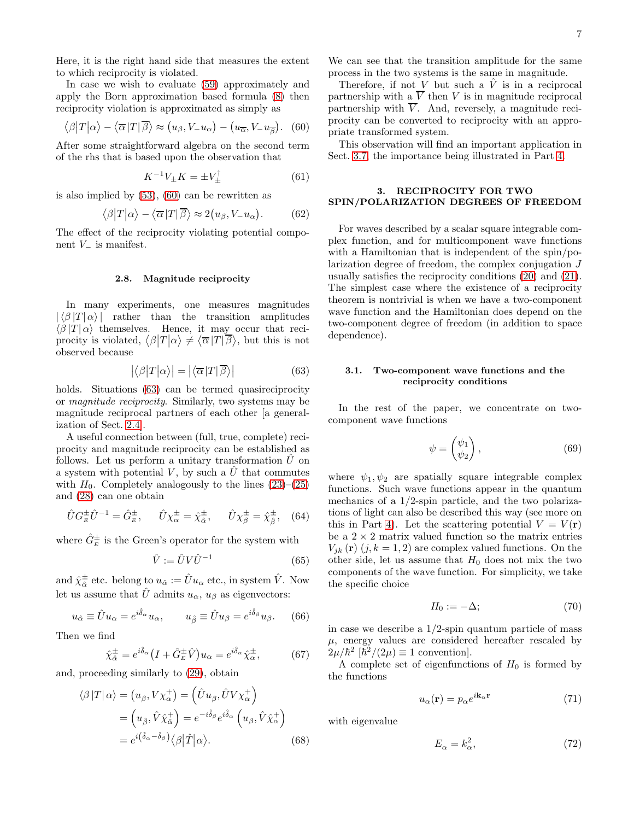Here, it is the right hand side that measures the extent to which reciprocity is violated.

In case we wish to evaluate [\(59\)](#page-5-4) approximately and apply the Born approximation based formula [\(8\)](#page-2-5) then reciprocity violation is approximated as simply as

<span id="page-6-1"></span>
$$
\langle \beta | T | \alpha \rangle - \langle \overline{\alpha} | T | \overline{\beta} \rangle \approx (u_{\beta}, V_{-} u_{\alpha}) - (u_{\overline{\alpha}}, V_{-} u_{\overline{\beta}}). \quad (60)
$$

After some straightforward algebra on the second term of the rhs that is based upon the observation that

$$
K^{-1}V_{\pm}K = \pm V_{\pm}^{\dagger} \tag{61}
$$

is also implied by [\(53\)](#page-5-3), [\(60\)](#page-6-1) can be rewritten as

<span id="page-6-6"></span>
$$
\langle \beta | T | \alpha \rangle - \langle \overline{\alpha} | T | \overline{\beta} \rangle \approx 2(u_{\beta}, V_{-} u_{\alpha}). \tag{62}
$$

The effect of the reciprocity violating potential component  $V_$  is manifest.

## <span id="page-6-5"></span>2.8. Magnitude reciprocity

In many experiments, one measures magnitudes  $|\langle \beta |T | \alpha \rangle|$  rather than the transition amplitudes  $\langle \beta | T | \alpha \rangle$  themselves. Hence, it may occur that reciprocity is violated,  $\langle \beta | T | \alpha \rangle \neq \langle \overline{\alpha} | T | \overline{\beta} \rangle$ , but this is not observed because

$$
|\langle \beta | T | \alpha \rangle| = |\langle \overline{\alpha} | T | \overline{\beta} \rangle| \tag{63}
$$

holds. Situations [\(63\)](#page-6-2) can be termed quasireciprocity or magnitude reciprocity. Similarly, two systems may be magnitude reciprocal partners of each other [a generalization of Sect. [2.4\]](#page-3-11).

A useful connection between (full, true, complete) reciprocity and magnitude reciprocity can be established as follows. Let us perform a unitary transformation  $\hat{U}$  on a system with potential V, by such a  $\hat{U}$  that commutes with  $H_0$ . Completely analogously to the lines  $(23)$ – $(25)$ and [\(28\)](#page-3-5) can one obtain

$$
\hat{U} G_E^{\pm} \hat{U}^{-1} = \hat{G}_E^{\pm}, \quad \hat{U} \chi_{\alpha}^{\pm} = \hat{\chi}_{\hat{\alpha}}^{\pm}, \quad \hat{U} \chi_{\beta}^{\pm} = \hat{\chi}_{\hat{\beta}}^{\pm}, \quad (64)
$$

where  $\hat{G}^{\pm}_{E}$  is the Green's operator for the system with

$$
\hat{V} := \hat{U} V \hat{U}^{-1} \tag{65}
$$

and  $\hat{\chi}_{\hat{\alpha}}^{\pm}$  etc. belong to  $u_{\hat{\alpha}} := \hat{U}u_{\alpha}$  etc., in system  $\hat{V}$ . Now let us assume that  $\hat{U}$  admits  $u_{\alpha}$ ,  $u_{\beta}$  as eigenvectors:

$$
u_{\hat{\alpha}} \equiv \hat{U}u_{\alpha} = e^{i\hat{\delta}_{\alpha}}u_{\alpha}, \qquad u_{\hat{\beta}} \equiv \hat{U}u_{\beta} = e^{i\hat{\delta}_{\beta}}u_{\beta}.
$$
 (66)

Then we find

$$
\hat{\chi}_{\hat{\alpha}}^{\pm} = e^{i\hat{\delta}_{\alpha}} \left( I + \hat{G}_{E}^{\pm} \hat{V} \right) u_{\alpha} = e^{i\hat{\delta}_{\alpha}} \hat{\chi}_{\alpha}^{\pm},\tag{67}
$$

and, proceeding similarly to [\(29\)](#page-3-7), obtain

$$
\langle \beta | T | \alpha \rangle = (u_{\beta}, V \chi_{\alpha}^{+}) = (\hat{U} u_{\beta}, \hat{U} V \chi_{\alpha}^{+})
$$
  
=  $(u_{\hat{\beta}}, \hat{V} \hat{\chi}_{\hat{\alpha}}^{+}) = e^{-i \hat{\delta}_{\beta}} e^{i \hat{\delta}_{\alpha}} (u_{\beta}, \hat{V} \hat{\chi}_{\alpha}^{+})$   
=  $e^{i (\hat{\delta}_{\alpha} - \hat{\delta}_{\beta})} \langle \beta | \hat{T} | \alpha \rangle$ . (68)

We can see that the transition amplitude for the same process in the two systems is the same in magnitude.

Therefore, if not V but such a  $\hat{V}$  is in a reciprocal partnership with a  $\overline{V}$  then V is in magnitude reciprocal partnership with  $\overline{V}$ . And, reversely, a magnitude reciprocity can be converted to reciprocity with an appropriate transformed system.

This observation will find an important application in Sect. [3.7,](#page-12-0) the importance being illustrated in Part [4.](#page-13-0)

## <span id="page-6-0"></span>3. RECIPROCITY FOR TWO SPIN/POLARIZATION DEGREES OF FREEDOM

For waves described by a scalar square integrable complex function, and for multicomponent wave functions with a Hamiltonian that is independent of the spin/polarization degree of freedom, the complex conjugation J usually satisfies the reciprocity conditions [\(20\)](#page-3-0) and [\(21\)](#page-3-1). The simplest case where the existence of a reciprocity theorem is nontrivial is when we have a two-component wave function and the Hamiltonian does depend on the two-component degree of freedom (in addition to space dependence).

## <span id="page-6-2"></span>3.1. Two-component wave functions and the reciprocity conditions

In the rest of the paper, we concentrate on twocomponent wave functions

$$
\psi = \begin{pmatrix} \psi_1 \\ \psi_2 \end{pmatrix}, \tag{69}
$$

where  $\psi_1, \psi_2$  are spatially square integrable complex functions. Such wave functions appear in the quantum mechanics of a 1/2-spin particle, and the two polarizations of light can also be described this way (see more on this in Part [4\)](#page-13-0). Let the scattering potential  $V = V(\mathbf{r})$ be a  $2 \times 2$  matrix valued function so the matrix entries  $V_{ik}(\mathbf{r})$   $(j, k = 1, 2)$  are complex valued functions. On the other side, let us assume that  $H_0$  does not mix the two components of the wave function. For simplicity, we take the specific choice

$$
H_0 := -\Delta; \tag{70}
$$

in case we describe a  $1/2$ -spin quantum particle of mass  $\mu$ , energy values are considered hereafter rescaled by  $2\mu/\hbar^2~[\bar{\hbar^2}/(2\mu)\equiv 1$  convention].

A complete set of eigenfunctions of  $H_0$  is formed by the functions

<span id="page-6-4"></span>
$$
u_{\alpha}(\mathbf{r}) = p_{\alpha}e^{i\mathbf{k}_{\alpha}\mathbf{r}} \tag{71}
$$

with eigenvalue

<span id="page-6-3"></span>
$$
E_{\alpha} = k_{\alpha}^2,\t\t(72)
$$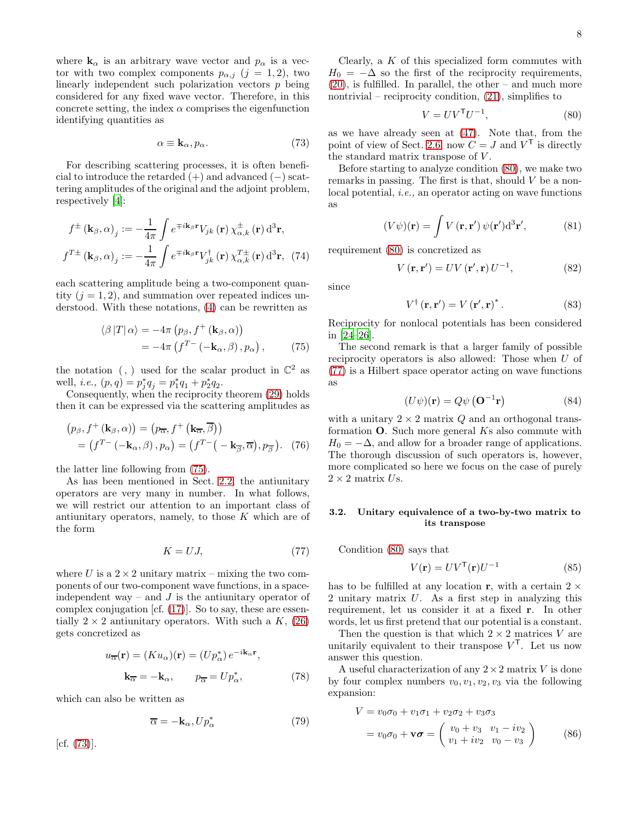where  $\mathbf{k}_{\alpha}$  is an arbitrary wave vector and  $p_{\alpha}$  is a vector with two complex components  $p_{\alpha,j}$   $(j = 1, 2)$ , two linearly independent such polarization vectors p being considered for any fixed wave vector. Therefore, in this concrete setting, the index  $\alpha$  comprises the eigenfunction identifying quantities as

<span id="page-7-1"></span>
$$
\alpha \equiv \mathbf{k}_{\alpha}, p_{\alpha}.\tag{73}
$$

For describing scattering processes, it is often beneficial to introduce the retarded  $(+)$  and advanced  $(-)$  scattering amplitudes of the original and the adjoint problem, respectively [\[4](#page-16-3)]:

$$
f^{\pm}(\mathbf{k}_{\beta}, \alpha)_{j} := -\frac{1}{4\pi} \int e^{\mp i\mathbf{k}_{\beta} \mathbf{r}} V_{jk}(\mathbf{r}) \chi_{\alpha, k}^{\pm}(\mathbf{r}) d^{3} \mathbf{r},
$$

$$
f^{T\pm}(\mathbf{k}_{\beta}, \alpha)_{j} := -\frac{1}{4\pi} \int e^{\mp i\mathbf{k}_{\beta} \mathbf{r}} V_{jk}^{\dagger}(\mathbf{r}) \chi_{\alpha, k}^{T\pm}(\mathbf{r}) d^{3} \mathbf{r}, (74)
$$

each scattering amplitude being a two-component quantity  $(j = 1, 2)$ , and summation over repeated indices understood. With these notations, [\(4\)](#page-1-1) can be rewritten as

$$
\langle \beta | T | \alpha \rangle = -4\pi \left( p_{\beta}, f^{+} \left( \mathbf{k}_{\beta}, \alpha \right) \right) = -4\pi \left( f^{T-} \left( -\mathbf{k}_{\alpha}, \beta \right), p_{\alpha} \right), \tag{75}
$$

the notation  $($ ,  $)$  used for the scalar product in  $\mathbb{C}^2$  as well, *i.e.*,  $(p, q) = p_j^* q_j = p_1^* q_1 + p_2^* q_2$ .

Consequently, when the reciprocity theorem [\(29\)](#page-3-7) holds then it can be expressed via the scattering amplitudes as

$$
(p_{\beta}, f^{+}(\mathbf{k}_{\beta}, \alpha)) = (p_{\overline{\alpha}}, f^{+}(\mathbf{k}_{\overline{\alpha}}, \overline{\beta}))
$$
  
=  $(f^{T-}(-\mathbf{k}_{\alpha}, \beta), p_{\alpha}) = (f^{T-}(-\mathbf{k}_{\overline{\beta}}, \overline{\alpha}), p_{\overline{\beta}}).$  (76)

the latter line following from [\(75\)](#page-7-0).

As has been mentioned in Sect. [2.2,](#page-2-2) the antiunitary operators are very many in number. In what follows, we will restrict our attention to an important class of antiunitary operators, namely, to those  $K$  which are of the form

<span id="page-7-3"></span>
$$
K = UJ,\t(77)
$$

where U is a  $2 \times 2$  unitary matrix – mixing the two components of our two-component wave functions, in a spaceindependent way – and  $J$  is the antiunitary operator of complex conjugation [cf. [\(17\)](#page-2-4)]. So to say, these are essentially  $2 \times 2$  antiunitary operators. With such a K, [\(26\)](#page-3-6) gets concretized as

$$
u_{\overline{\alpha}}(\mathbf{r}) = (K u_{\alpha})(\mathbf{r}) = (U p_{\alpha}^{*}) e^{-i\mathbf{k}_{\alpha}\mathbf{r}},
$$
  

$$
\mathbf{k}_{\overline{\alpha}} = -\mathbf{k}_{\alpha}, \qquad p_{\overline{\alpha}} = U p_{\alpha}^{*},
$$
 (78)

which can also be written as

<span id="page-7-6"></span>
$$
\overline{\alpha} = -\mathbf{k}_{\alpha}, U p_{\alpha}^{*} \tag{79}
$$

 $[cf. (73)].$  $[cf. (73)].$  $[cf. (73)].$ 

Clearly, a  $K$  of this specialized form commutes with  $H_0 = -\Delta$  so the first of the reciprocity requirements,  $(20)$ , is fulfilled. In parallel, the other – and much more nontrivial – reciprocity condition,  $(21)$ , simplifies to

<span id="page-7-2"></span>
$$
V = UVTU-1,
$$
\n(80)

as we have already seen at [\(47\)](#page-5-0). Note that, from the point of view of Sect. [2.6,](#page-4-3) now  $\overrightarrow{C} = J$  and  $V^{\mathsf{T}}$  is directly the standard matrix transpose of V .

Before starting to analyze condition [\(80\)](#page-7-2), we make two remarks in passing. The first is that, should  $V$  be a nonlocal potential, i.e., an operator acting on wave functions as

$$
(V\psi)(\mathbf{r}) = \int V(\mathbf{r}, \mathbf{r}') \psi(\mathbf{r}') d^3 \mathbf{r}',\tag{81}
$$

<span id="page-7-7"></span>requirement [\(80\)](#page-7-2) is concretized as

$$
V(\mathbf{r}, \mathbf{r}') = UV(\mathbf{r}', \mathbf{r})U^{-1},\tag{82}
$$

since

$$
V^{\dagger}(\mathbf{r}, \mathbf{r}') = V(\mathbf{r}', \mathbf{r})^{*}.
$$
 (83)

Reciprocity for nonlocal potentials has been considered in [\[24](#page-16-21)[–26\]](#page-16-23).

<span id="page-7-0"></span>The second remark is that a larger family of possible reciprocity operators is also allowed: Those when U of [\(77\)](#page-7-3) is a Hilbert space operator acting on wave functions as

$$
(U\psi)(\mathbf{r}) = Q\psi(\mathbf{O}^{-1}\mathbf{r})
$$
 (84)

with a unitary  $2 \times 2$  matrix Q and an orthogonal transformation  $O$ . Such more general  $Ks$  also commute with  $H_0 = -\Delta$ , and allow for a broader range of applications. The thorough discussion of such operators is, however, more complicated so here we focus on the case of purely  $2 \times 2$  matrix Us.

### 3.2. Unitary equivalence of a two-by-two matrix to its transpose

Condition [\(80\)](#page-7-2) says that

<span id="page-7-5"></span>
$$
V(\mathbf{r}) = UV^{\mathsf{T}}(\mathbf{r})U^{-1}
$$
 (85)

has to be fulfilled at any location r, with a certain  $2 \times$ 2 unitary matrix U. As a first step in analyzing this requirement, let us consider it at a fixed r. In other words, let us first pretend that our potential is a constant.

Then the question is that which  $2 \times 2$  matrices V are unitarily equivalent to their transpose  $V^{\mathsf{T}}$ . Let us now answer this question.

A useful characterization of any  $2 \times 2$  matrix V is done by four complex numbers  $v_0, v_1, v_2, v_3$  via the following expansion:

<span id="page-7-4"></span>
$$
V = v_0 \sigma_0 + v_1 \sigma_1 + v_2 \sigma_2 + v_3 \sigma_3
$$
  
=  $v_0 \sigma_0 + \mathbf{v} \boldsymbol{\sigma} = \begin{pmatrix} v_0 + v_3 & v_1 - iv_2 \\ v_1 + iv_2 & v_0 - v_3 \end{pmatrix}$  (86)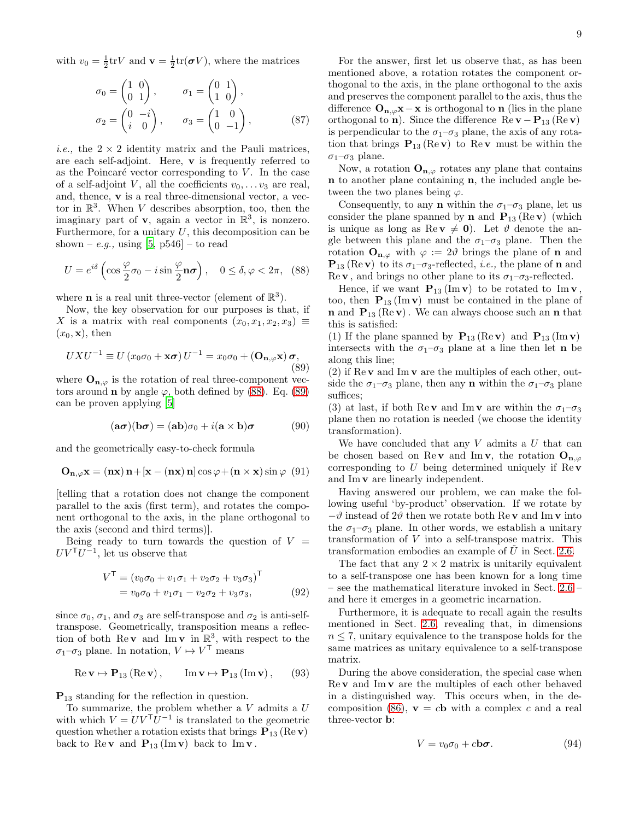with  $v_0 = \frac{1}{2}$ tr $V$  and  $\mathbf{v} = \frac{1}{2}$ tr $(\boldsymbol{\sigma} V)$ , where the matrices

$$
\sigma_0 = \begin{pmatrix} 1 & 0 \\ 0 & 1 \end{pmatrix}, \qquad \sigma_1 = \begin{pmatrix} 0 & 1 \\ 1 & 0 \end{pmatrix},
$$

$$
\sigma_2 = \begin{pmatrix} 0 & -i \\ i & 0 \end{pmatrix}, \qquad \sigma_3 = \begin{pmatrix} 1 & 0 \\ 0 & -1 \end{pmatrix}, \qquad (87)
$$

*i.e.*, the  $2 \times 2$  identity matrix and the Pauli matrices, are each self-adjoint. Here, v is frequently referred to as the Poincaré vector corresponding to  $V$ . In the case of a self-adjoint V, all the coefficients  $v_0, \ldots v_3$  are real, and, thence, v is a real three-dimensional vector, a vector in  $\mathbb{R}^3$ . When V describes absorption, too, then the imaginary part of  $\mathbf{v}$ , again a vector in  $\mathbb{R}^3$ , is nonzero. Furthermore, for a unitary  $U$ , this decomposition can be shown – e.g., using  $[5, p546]$  – to read

<span id="page-8-0"></span>
$$
U = e^{i\delta} \left( \cos \frac{\varphi}{2} \sigma_0 - i \sin \frac{\varphi}{2} \mathbf{n} \sigma \right), \quad 0 \le \delta, \varphi < 2\pi, \tag{88}
$$

where **n** is a real unit three-vector (element of  $\mathbb{R}^3$ ).

Now, the key observation for our purposes is that, if X is a matrix with real components  $(x_0, x_1, x_2, x_3) \equiv$  $(x_0, \mathbf{x})$ , then

<span id="page-8-1"></span>
$$
UXU^{-1} \equiv U(x_0\sigma_0 + \mathbf{x}\sigma) U^{-1} = x_0\sigma_0 + (\mathbf{O}_{\mathbf{n},\varphi}\mathbf{x})\sigma,
$$
\n(89)

where  $\mathbf{O}_{\mathbf{n},\varphi}$  is the rotation of real three-component vectors around **n** by angle  $\varphi$ , both defined by [\(88\)](#page-8-0). Eq. [\(89\)](#page-8-1) can be proven applying [\[5\]](#page-16-4)

<span id="page-8-3"></span>
$$
(\mathbf{a}\boldsymbol{\sigma})(\mathbf{b}\boldsymbol{\sigma}) = (\mathbf{a}\mathbf{b})\sigma_0 + i(\mathbf{a} \times \mathbf{b})\boldsymbol{\sigma}
$$
 (90)

and the geometrically easy-to-check formula

$$
\mathbf{O}_{\mathbf{n},\varphi}\mathbf{x} = (\mathbf{n}\mathbf{x})\,\mathbf{n} + [\mathbf{x} - (\mathbf{n}\mathbf{x})\,\mathbf{n}] \cos \varphi + (\mathbf{n} \times \mathbf{x}) \sin \varphi \tag{91}
$$

[telling that a rotation does not change the component parallel to the axis (first term), and rotates the component orthogonal to the axis, in the plane orthogonal to the axis (second and third terms)].

Being ready to turn towards the question of  $V =$  $UV^{T}U^{-1}$ , let us observe that

$$
V^{\mathsf{T}} = (v_0 \sigma_0 + v_1 \sigma_1 + v_2 \sigma_2 + v_3 \sigma_3)^{\mathsf{T}}
$$
  
=  $v_0 \sigma_0 + v_1 \sigma_1 - v_2 \sigma_2 + v_3 \sigma_3,$  (92)

since  $\sigma_0$ ,  $\sigma_1$ , and  $\sigma_3$  are self-transpose and  $\sigma_2$  is anti-selftranspose. Geometrically, transposition means a reflection of both  $\text{Re } v$  and  $\text{Im } v$  in  $\mathbb{R}^3$ , with respect to the  $\sigma_1-\sigma_3$  plane. In notation,  $V \mapsto V^{\mathsf{T}}$  means

$$
\operatorname{Re} \mathbf{v} \mapsto \mathbf{P}_{13} \left( \operatorname{Re} \mathbf{v} \right), \qquad \operatorname{Im} \mathbf{v} \mapsto \mathbf{P}_{13} \left( \operatorname{Im} \mathbf{v} \right), \tag{93}
$$

 $P_{13}$  standing for the reflection in question.

To summarize, the problem whether a  $V$  admits a  $U$ with which  $V = UV^{\mathsf{T}}U^{-1}$  is translated to the geometric question whether a rotation exists that brings  $P_{13}$  (Re v) back to Rev and  $P_{13}$  (Im v) back to Im v.

For the answer, first let us observe that, as has been mentioned above, a rotation rotates the component orthogonal to the axis, in the plane orthogonal to the axis and preserves the component parallel to the axis, thus the difference  $O_{n,\varphi}x-x$  is orthogonal to n (lies in the plane orthogonal to n). Since the difference  $\text{Re } \mathbf{v} - \mathbf{P}_{13} (\text{Re } \mathbf{v})$ is perpendicular to the  $\sigma_1-\sigma_3$  plane, the axis of any rotation that brings  $P_{13}$  (Rev) to Rev must be within the  $\sigma_1$ – $\sigma_3$  plane.

Now, a rotation  $O_{n,\varphi}$  rotates any plane that contains n to another plane containing n, the included angle between the two planes being  $\varphi$ .

Consequently, to any **n** within the  $\sigma_1-\sigma_3$  plane, let us consider the plane spanned by **n** and  $P_{13}$  (Re **v**) (which is unique as long as  $\text{Re } v \neq 0$ . Let  $\vartheta$  denote the angle between this plane and the  $\sigma_1-\sigma_3$  plane. Then the rotation  $\mathbf{O}_{\mathbf{n},\varphi}$  with  $\varphi := 2\vartheta$  brings the plane of **n** and  $\mathbf{P}_{13}$  (Rev) to its  $\sigma_1$ - $\sigma_3$ -reflected, *i.e.*, the plane of **n** and Re **v**, and brings no other plane to its  $\sigma_1$ - $\sigma_3$ -reflected.

Hence, if we want  $\mathbf{P}_{13}$  (Im **v**) to be rotated to Im **v**, too, then  $P_{13}$  (Im v) must be contained in the plane of **n** and  $P_{13}$  (Re **v**). We can always choose such an **n** that this is satisfied:

(1) If the plane spanned by  $\mathbf{P}_{13}$  (Re v) and  $\mathbf{P}_{13}$  (Im v) intersects with the  $\sigma_1-\sigma_3$  plane at a line then let **n** be along this line;

(2) if  $\text{Re } v$  and  $\text{Im } v$  are the multiples of each other, outside the  $\sigma_1-\sigma_3$  plane, then any **n** within the  $\sigma_1-\sigma_3$  plane suffices;

(3) at last, if both Rev and Imv are within the  $\sigma_1-\sigma_3$ plane then no rotation is needed (we choose the identity transformation).

We have concluded that any  $V$  admits a  $U$  that can be chosen based on Rev and Imv, the rotation  $O_{n,\varphi}$ corresponding to  $U$  being determined uniquely if  $\text{Re } \mathbf{v}$ and Im v are linearly independent.

Having answered our problem, we can make the following useful 'by-product' observation. If we rotate by  $-\vartheta$  instead of  $2\vartheta$  then we rotate both Rev and Imv into the  $\sigma_1-\sigma_3$  plane. In other words, we establish a unitary transformation of V into a self-transpose matrix. This transformation embodies an example of  $\check{U}$  in Sect. [2.6.](#page-4-3)

The fact that any  $2 \times 2$  matrix is unitarily equivalent to a self-transpose one has been known for a long time – see the mathematical literature invoked in Sect. [2.6](#page-4-3) – and here it emerges in a geometric incarnation.

<span id="page-8-4"></span>Furthermore, it is adequate to recall again the results mentioned in Sect. [2.6,](#page-4-3) revealing that, in dimensions  $n \leq 7$ , unitary equivalence to the transpose holds for the same matrices as unitary equivalence to a self-transpose matrix.

During the above consideration, the special case when  $\text{Re } v$  and  $\text{Im } v$  are the multiples of each other behaved in a distinguished way. This occurs when, in the de-composition [\(86\)](#page-7-4),  $\mathbf{v} = c\mathbf{b}$  with a complex c and a real three-vector b:

<span id="page-8-2"></span>
$$
V = v_0 \sigma_0 + c \mathbf{b} \boldsymbol{\sigma}.
$$
 (94)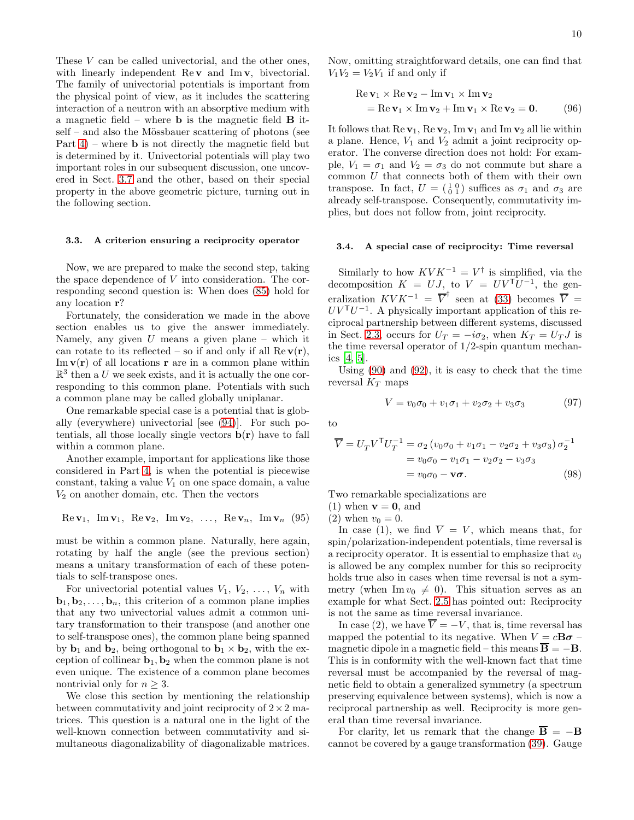These V can be called univectorial, and the other ones, with linearly independent  $\text{Re } v$  and  $\text{Im } v$ , bivectorial. The family of univectorial potentials is important from the physical point of view, as it includes the scattering interaction of a neutron with an absorptive medium with a magnetic field – where **b** is the magnetic field  $\bf{B}$  it $self$  – and also the Mössbauer scattering of photons (see Part  $4$ ) – where **b** is not directly the magnetic field but is determined by it. Univectorial potentials will play two important roles in our subsequent discussion, one uncovered in Sect. [3.7](#page-12-0) and the other, based on their special property in the above geometric picture, turning out in the following section.

#### <span id="page-9-1"></span>3.3. A criterion ensuring a reciprocity operator

Now, we are prepared to make the second step, taking the space dependence of V into consideration. The corresponding second question is: When does [\(85\)](#page-7-5) hold for any location r?

Fortunately, the consideration we made in the above section enables us to give the answer immediately. Namely, any given  $U$  means a given plane – which it can rotate to its reflected – so if and only if all  $\text{Re } \mathbf{v}(\mathbf{r})$ ,  $\text{Im}\,\mathbf{v}(\mathbf{r})$  of all locations **r** are in a common plane within  $\mathbb{R}^3$  then a U we seek exists, and it is actually the one corresponding to this common plane. Potentials with such a common plane may be called globally uniplanar.

One remarkable special case is a potential that is globally (everywhere) univectorial [see [\(94\)](#page-8-2)]. For such potentials, all those locally single vectors  $\mathbf{b}(\mathbf{r})$  have to fall within a common plane.

Another example, important for applications like those considered in Part [4,](#page-13-0) is when the potential is piecewise constant, taking a value  $V_1$  on one space domain, a value  $V_2$  on another domain, etc. Then the vectors

Re
$$
\mathbf{v}_1
$$
, Im $\mathbf{v}_1$ , Re $\mathbf{v}_2$ , Im $\mathbf{v}_2$ , ..., Re $\mathbf{v}_n$ , Im $\mathbf{v}_n$  (95)

must be within a common plane. Naturally, here again, rotating by half the angle (see the previous section) means a unitary transformation of each of these potentials to self-transpose ones.

For univectorial potential values  $V_1, V_2, \ldots, V_n$  with **, this criterion of a common plane implies** that any two univectorial values admit a common unitary transformation to their transpose (and another one to self-transpose ones), the common plane being spanned by  $\mathbf{b}_1$  and  $\mathbf{b}_2$ , being orthogonal to  $\mathbf{b}_1 \times \mathbf{b}_2$ , with the exception of collinear  $\mathbf{b}_1, \mathbf{b}_2$  when the common plane is not even unique. The existence of a common plane becomes nontrivial only for  $n \geq 3$ .

We close this section by mentioning the relationship between commutativity and joint reciprocity of  $2 \times 2$  matrices. This question is a natural one in the light of the well-known connection between commutativity and simultaneous diagonalizability of diagonalizable matrices.

Now, omitting straightforward details, one can find that  $V_1V_2 = V_2V_1$  if and only if

$$
\begin{aligned} \text{Re}\,\mathbf{v}_1 \times \text{Re}\,\mathbf{v}_2 - \text{Im}\,\mathbf{v}_1 \times \text{Im}\,\mathbf{v}_2 \\ &= \text{Re}\,\mathbf{v}_1 \times \text{Im}\,\mathbf{v}_2 + \text{Im}\,\mathbf{v}_1 \times \text{Re}\,\mathbf{v}_2 = \mathbf{0}. \end{aligned} \tag{96}
$$

It follows that  $\text{Re } \mathbf{v}_1$ ,  $\text{Re } \mathbf{v}_2$ ,  $\text{Im } \mathbf{v}_1$  and  $\text{Im } \mathbf{v}_2$  all lie within a plane. Hence,  $V_1$  and  $V_2$  admit a joint reciprocity operator. The converse direction does not hold: For example,  $V_1 = \sigma_1$  and  $V_2 = \sigma_3$  do not commute but share a common  $U$  that connects both of them with their own transpose. In fact,  $U = \begin{pmatrix} 1 & 0 \\ 0 & 1 \end{pmatrix}$  suffices as  $\sigma_1$  and  $\sigma_3$  are already self-transpose. Consequently, commutativity implies, but does not follow from, joint reciprocity.

#### <span id="page-9-0"></span>3.4. A special case of reciprocity: Time reversal

Similarly to how  $KVK^{-1} = V^{\dagger}$  is simplified, via the decomposition  $K = UJ$ , to  $V = UV^{T}U^{-1}$ , the generalization  $KVK^{-1} = \overline{V}^{\dagger}$  seen at [\(33\)](#page-3-10) becomes  $\overline{V}$  =  $UV<sup>T</sup>U<sup>-1</sup>$ . A physically important application of this reciprocal partnership between different systems, discussed in Sect. [2.3,](#page-2-6) occurs for  $U_T = -i\sigma_2$ , when  $K_T = U_T J$  is the time reversal operator of  $1/2$ -spin quantum mechanics [\[4](#page-16-3), [5](#page-16-4)].

Using [\(90\)](#page-8-3) and [\(92\)](#page-8-4), it is easy to check that the time reversal  $K_T$  maps

$$
V = v_0 \sigma_0 + v_1 \sigma_1 + v_2 \sigma_2 + v_3 \sigma_3 \tag{97}
$$

to

$$
\overline{V} = U_T V^{\mathsf{T}} U_T^{-1} = \sigma_2 (v_0 \sigma_0 + v_1 \sigma_1 - v_2 \sigma_2 + v_3 \sigma_3) \sigma_2^{-1}
$$
  
=  $v_0 \sigma_0 - v_1 \sigma_1 - v_2 \sigma_2 - v_3 \sigma_3$   
=  $v_0 \sigma_0 - \mathbf{v} \sigma$ . (98)

Two remarkable specializations are

(1) when  $\mathbf{v} = \mathbf{0}$ , and

(2) when  $v_0 = 0$ .

In case (1), we find  $\overline{V} = V$ , which means that, for spin/polarization-independent potentials, time reversal is a reciprocity operator. It is essential to emphasize that  $v_0$ is allowed be any complex number for this so reciprocity holds true also in cases when time reversal is not a symmetry (when Im  $v_0 \neq 0$ ). This situation serves as an example for what Sect. [2.5](#page-4-4) has pointed out: Reciprocity is not the same as time reversal invariance.

In case (2), we have  $\overline{V} = -V$ , that is, time reversal has mapped the potential to its negative. When  $V = c\mathbf{B}\boldsymbol{\sigma}$  – magnetic dipole in a magnetic field – this means  $\overline{B} = -B$ . This is in conformity with the well-known fact that time reversal must be accompanied by the reversal of magnetic field to obtain a generalized symmetry (a spectrum preserving equivalence between systems), which is now a reciprocal partnership as well. Reciprocity is more general than time reversal invariance.

For clarity, let us remark that the change  $\overline{B} = -B$ cannot be covered by a gauge transformation [\(39\)](#page-4-5). Gauge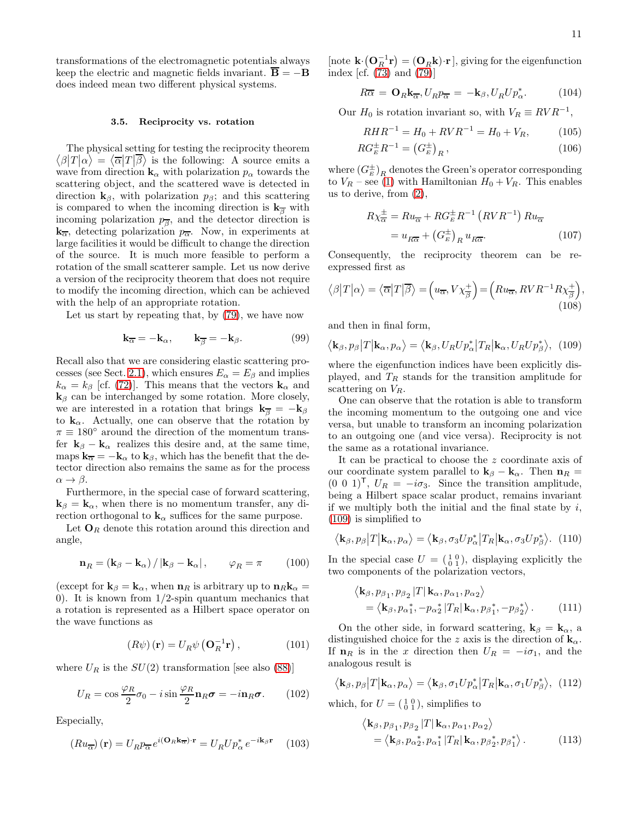transformations of the electromagnetic potentials always keep the electric and magnetic fields invariant.  $\overline{B} = -B$ does indeed mean two different physical systems.

#### <span id="page-10-0"></span>3.5. Reciprocity vs. rotation

 $\langle \beta | T | \alpha \rangle = \langle \overline{\alpha} | T | \overline{\beta} \rangle$  is the following: A source emits a The physical setting for testing the reciprocity theorem wave from direction  $\mathbf{k}_{\alpha}$  with polarization  $p_{\alpha}$  towards the scattering object, and the scattered wave is detected in direction  $\mathbf{k}_{\beta}$ , with polarization  $p_{\beta}$ ; and this scattering is compared to when the incoming direction is  $k_{\overline{B}}$  with incoming polarization  $p_{\overline{\beta}}$ , and the detector direction is  $k_{\overline{\alpha}}$ , detecting polarization  $p_{\overline{\alpha}}$ . Now, in experiments at large facilities it would be difficult to change the direction of the source. It is much more feasible to perform a rotation of the small scatterer sample. Let us now derive a version of the reciprocity theorem that does not require to modify the incoming direction, which can be achieved with the help of an appropriate rotation.

Let us start by repeating that, by [\(79\)](#page-7-6), we have now

$$
\mathbf{k}_{\overline{\alpha}} = -\mathbf{k}_{\alpha}, \qquad \mathbf{k}_{\overline{\beta}} = -\mathbf{k}_{\beta}.
$$
 (99)

Recall also that we are considering elastic scattering pro-cesses (see Sect. [2.1\)](#page-1-5), which ensures  $E_{\alpha} = E_{\beta}$  and implies  $k_{\alpha} = k_{\beta}$  [cf. [\(72\)](#page-6-3)]. This means that the vectors  $\mathbf{k}_{\alpha}$  and  $k_{\beta}$  can be interchanged by some rotation. More closely, we are interested in a rotation that brings  $\mathbf{k}_{\overline{\beta}} = -\mathbf{k}_{\beta}$ to  $\mathbf{k}_{\alpha}$ . Actually, one can observe that the rotation by  $\pi \equiv 180^{\circ}$  around the direction of the momentum transfer  $\mathbf{k}_{\beta} - \mathbf{k}_{\alpha}$  realizes this desire and, at the same time, maps  $\mathbf{k}_{\overline{\alpha}} = -\mathbf{k}_{\alpha}$  to  $\mathbf{k}_{\beta}$ , which has the benefit that the detector direction also remains the same as for the process  $\alpha \rightarrow \beta$ .

Furthermore, in the special case of forward scattering,  $k_{\beta} = k_{\alpha}$ , when there is no momentum transfer, any direction orthogonal to  $\mathbf{k}_{\alpha}$  suffices for the same purpose.

Let  $O_R$  denote this rotation around this direction and angle,

$$
\mathbf{n}_{R} = (\mathbf{k}_{\beta} - \mathbf{k}_{\alpha}) / |\mathbf{k}_{\beta} - \mathbf{k}_{\alpha}|, \qquad \varphi_{R} = \pi \qquad (100)
$$

(except for  $\mathbf{k}_{\beta} = \mathbf{k}_{\alpha}$ , when  $\mathbf{n}_{R}$  is arbitrary up to  $\mathbf{n}_{R} \mathbf{k}_{\alpha} =$ 0). It is known from  $1/2$ -spin quantum mechanics that a rotation is represented as a Hilbert space operator on the wave functions as

$$
(R\psi) (\mathbf{r}) = U_R \psi \left( \mathbf{O}_R^{-1} \mathbf{r} \right), \tag{101}
$$

where  $U_R$  is the  $SU(2)$  transformation [see also [\(88\)](#page-8-0)]

$$
U_R = \cos\frac{\varphi_R}{2}\sigma_0 - i\sin\frac{\varphi_R}{2}\mathbf{n}_R\boldsymbol{\sigma} = -i\mathbf{n}_R\boldsymbol{\sigma}.\qquad(102)
$$

Especially,

$$
(R u_{\overline{\alpha}}) (\mathbf{r}) = U_R p_{\overline{\alpha}} e^{i(\mathbf{O}_R \mathbf{k}_{\overline{\alpha}}) \cdot \mathbf{r}} = U_R U p_{\alpha}^* e^{-i\mathbf{k}_{\beta} \mathbf{r}} \quad (103)
$$

[note  $\mathbf{k} \cdot (\mathbf{O}_R^{-1} \mathbf{r}) = (\mathbf{O}_R \mathbf{k}) \cdot \mathbf{r}$ ], giving for the eigenfunction index [cf.  $(73)$  and  $(79)$ ]

$$
R\overline{\alpha} = \mathbf{O}_R \mathbf{k}_{\overline{\alpha}}, U_R p_{\overline{\alpha}} = -\mathbf{k}_{\beta}, U_R U p_{\alpha}^*.
$$
 (104)

Our  $H_0$  is rotation invariant so, with  $V_R \equiv RVR^{-1}$ ,

$$
RHR^{-1} = H_0 + RVR^{-1} = H_0 + V_R, \tag{105}
$$

$$
RG_{E}^{\pm}R^{-1} = \left(G_{E}^{\pm}\right)_{R},\tag{106}
$$

where  $(G_E^{\pm})_R$  denotes the Green's operator corresponding to  $V_R$  – see [\(1\)](#page-1-2) with Hamiltonian  $H_0 + V_R$ . This enables us to derive, from [\(2\)](#page-1-3),

<span id="page-10-1"></span>
$$
R\chi_{\overline{\alpha}}^{\pm} = Ru_{\overline{\alpha}} + RG_{E}^{\pm}R^{-1} \left(RVR^{-1}\right)Ru_{\overline{\alpha}}
$$

$$
= u_{R\overline{\alpha}} + \left(G_{E}^{\pm}\right)_{R}u_{R\overline{\alpha}}.
$$
 (107)

Consequently, the reciprocity theorem can be reexpressed first as

$$
\langle \beta | T | \alpha \rangle = \langle \overline{\alpha} | T | \overline{\beta} \rangle = \left( u_{\overline{\alpha}}, V \chi_{\overline{\beta}}^{+} \right) = \left( R u_{\overline{\alpha}}, R V R^{-1} R \chi_{\overline{\beta}}^{+} \right),
$$
\n(108)

and then in final form,

$$
\langle \mathbf{k}_{\beta}, p_{\beta} | T | \mathbf{k}_{\alpha}, p_{\alpha} \rangle = \langle \mathbf{k}_{\beta}, U_{R} U p_{\alpha}^{*} | T_{R} | \mathbf{k}_{\alpha}, U_{R} U p_{\beta}^{*} \rangle, (109)
$$

where the eigenfunction indices have been explicitly displayed, and  $T_R$  stands for the transition amplitude for scattering on  $V_R$ .

One can observe that the rotation is able to transform the incoming momentum to the outgoing one and vice versa, but unable to transform an incoming polarization to an outgoing one (and vice versa). Reciprocity is not the same as a rotational invariance.

It can be practical to choose the z coordinate axis of our coordinate system parallel to  $\mathbf{k}_{\beta} - \mathbf{k}_{\alpha}$ . Then  $\mathbf{n}_{R} =$  $(0\ 0\ 1)^{\mathsf{T}},\ U_R = -i\sigma_3.$  Since the transition amplitude, being a Hilbert space scalar product, remains invariant if we multiply both the initial and the final state by  $i$ , [\(109\)](#page-10-1) is simplified to

$$
\langle \mathbf{k}_{\beta}, p_{\beta} | T | \mathbf{k}_{\alpha}, p_{\alpha} \rangle = \langle \mathbf{k}_{\beta}, \sigma_3 U p_{\alpha}^* | T_R | \mathbf{k}_{\alpha}, \sigma_3 U p_{\beta}^* \rangle. \tag{110}
$$

In the special case  $U = \begin{pmatrix} 1 & 0 \\ 0 & 1 \end{pmatrix}$ , displaying explicitly the two components of the polarization vectors,

$$
\langle \mathbf{k}_{\beta}, p_{\beta_1}, p_{\beta_2} | T | \mathbf{k}_{\alpha}, p_{\alpha_1}, p_{\alpha_2} \rangle = \langle \mathbf{k}_{\beta}, p_{\alpha_1}^* , -p_{\alpha_2}^* | T_R | \mathbf{k}_{\alpha}, p_{\beta_1}^* , -p_{\beta_2}^* \rangle.
$$
 (111)

On the other side, in forward scattering,  $\mathbf{k}_{\beta} = \mathbf{k}_{\alpha}$ , a distinguished choice for the z axis is the direction of  $\mathbf{k}_{\alpha}$ . If  $n_R$  is in the x direction then  $U_R = -i\sigma_1$ , and the analogous result is

$$
\langle \mathbf{k}_{\beta}, p_{\beta} | T | \mathbf{k}_{\alpha}, p_{\alpha} \rangle = \langle \mathbf{k}_{\beta}, \sigma_1 U p_{\alpha}^* | T_R | \mathbf{k}_{\alpha}, \sigma_1 U p_{\beta}^* \rangle, \tag{112}
$$

which, for  $U = \begin{pmatrix} 1 & 0 \\ 0 & 1 \end{pmatrix}$ , simplifies to

<span id="page-10-2"></span>
$$
\langle \mathbf{k}_{\beta}, p_{\beta_1}, p_{\beta_2} | T | \mathbf{k}_{\alpha}, p_{\alpha_1}, p_{\alpha_2} \rangle
$$
  
= 
$$
\langle \mathbf{k}_{\beta}, p_{\alpha_2}^*, p_{\alpha_1}^* | T_R | \mathbf{k}_{\alpha}, p_{\beta_2}^*, p_{\beta_1}^* \rangle.
$$
 (113)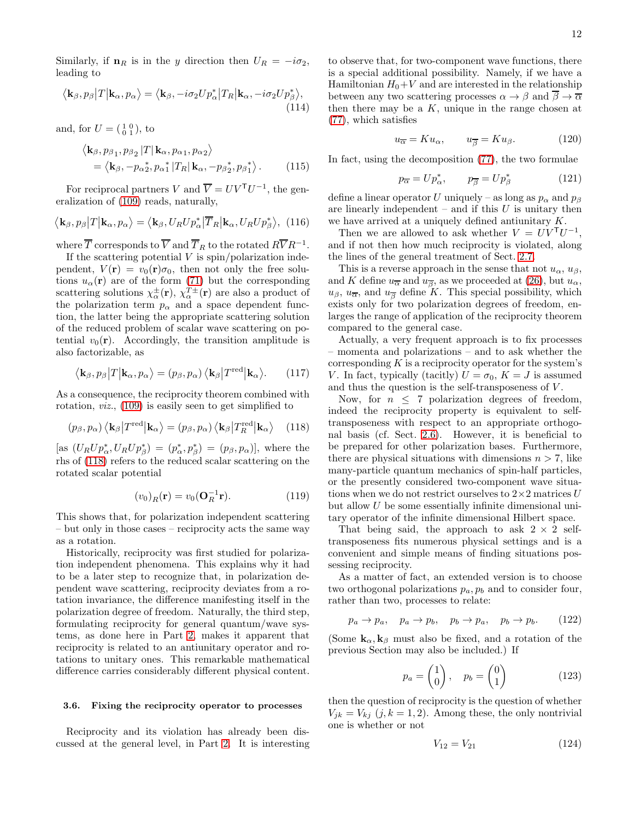Similarly, if  $n_R$  is in the y direction then  $U_R = -i\sigma_2$ , leading to

$$
\langle \mathbf{k}_{\beta}, p_{\beta} | T | \mathbf{k}_{\alpha}, p_{\alpha} \rangle = \langle \mathbf{k}_{\beta}, -i\sigma_2 U p_{\alpha}^* | T_R | \mathbf{k}_{\alpha}, -i\sigma_2 U p_{\beta}^* \rangle, \tag{114}
$$

and, for  $U = (\begin{smallmatrix} 1 & 0 \\ 0 & 1 \end{smallmatrix})$ , to

$$
\langle \mathbf{k}_{\beta}, p_{\beta_1}, p_{\beta_2} | T | \mathbf{k}_{\alpha}, p_{\alpha_1}, p_{\alpha_2} \rangle
$$
  
=  $\langle \mathbf{k}_{\beta}, -p_{\alpha_2}^*, p_{\alpha_1}^* | T_R | \mathbf{k}_{\alpha}, -p_{\beta_2}^*, p_{\beta_1}^* \rangle$ . (115)

For reciprocal partners V and  $\overline{V} = UV^{\mathsf{T}}U^{-1}$ , the generalization of [\(109\)](#page-10-1) reads, naturally,

$$
\langle \mathbf{k}_{\beta}, p_{\beta} | T | \mathbf{k}_{\alpha}, p_{\alpha} \rangle = \langle \mathbf{k}_{\beta}, U_{R} U p_{\alpha}^{*} | \overline{T}_{R} | \mathbf{k}_{\alpha}, U_{R} U p_{\beta}^{*} \rangle, (116)
$$

where  $\overline{T}$  corresponds to  $\overline{V}$  and  $\overline{T}_R$  to the rotated  $R\overline{V}R^{-1}.$ 

If the scattering potential  $V$  is spin/polarization independent,  $V(\mathbf{r}) = v_0(\mathbf{r})\sigma_0$ , then not only the free solutions  $u_{\alpha}(\mathbf{r})$  are of the form [\(71\)](#page-6-4) but the corresponding scattering solutions  $\chi^{\pm}_{\alpha}(\mathbf{r}), \chi^{\gamma\pm}_{\alpha}(\mathbf{r})$  are also a product of the polarization term  $p_{\alpha}$  and a space dependent function, the latter being the appropriate scattering solution of the reduced problem of scalar wave scattering on potential  $v_0(\mathbf{r})$ . Accordingly, the transition amplitude is also factorizable, as

$$
\langle \mathbf{k}_{\beta}, p_{\beta} | T | \mathbf{k}_{\alpha}, p_{\alpha} \rangle = (p_{\beta}, p_{\alpha}) \langle \mathbf{k}_{\beta} | T^{\text{red}} | \mathbf{k}_{\alpha} \rangle.
$$
 (117)

As a consequence, the reciprocity theorem combined with rotation, viz., [\(109\)](#page-10-1) is easily seen to get simplified to

$$
(p_{\beta}, p_{\alpha}) \langle \mathbf{k}_{\beta} | T^{\text{red}} | \mathbf{k}_{\alpha} \rangle = (p_{\beta}, p_{\alpha}) \langle \mathbf{k}_{\beta} | T^{\text{red}}_{R} | \mathbf{k}_{\alpha} \rangle \quad (118)
$$

[as  $(U_R U p^*_{\alpha}, U_R U p^*_{\beta}) = (p^*_{\alpha}, p^*_{\beta}) = (p_{\beta}, p_{\alpha})$ ], where the rhs of [\(118\)](#page-11-0) refers to the reduced scalar scattering on the rotated scalar potential

$$
(v_0)_R(\mathbf{r}) = v_0(\mathbf{O}_R^{-1}\mathbf{r}).\tag{119}
$$

This shows that, for polarization independent scattering – but only in those cases – reciprocity acts the same way as a rotation.

Historically, reciprocity was first studied for polarization independent phenomena. This explains why it had to be a later step to recognize that, in polarization dependent wave scattering, reciprocity deviates from a rotation invariance, the difference manifesting itself in the polarization degree of freedom. Naturally, the third step, formulating reciprocity for general quantum/wave systems, as done here in Part [2,](#page-1-0) makes it apparent that reciprocity is related to an antiunitary operator and rotations to unitary ones. This remarkable mathematical difference carries considerably different physical content.

### 3.6. Fixing the reciprocity operator to processes

Reciprocity and its violation has already been discussed at the general level, in Part [2.](#page-1-0) It is interesting

to observe that, for two-component wave functions, there is a special additional possibility. Namely, if we have a Hamiltonian  $H_0+V$  and are interested in the relationship between any two scattering processes  $\alpha \to \beta$  and  $\overline{\beta} \to \overline{\alpha}$ then there may be a  $K$ , unique in the range chosen at [\(77\)](#page-7-3), which satisfies

$$
u_{\overline{\alpha}} = K u_{\alpha}, \qquad u_{\overline{\beta}} = K u_{\beta}.
$$
 (120)

In fact, using the decomposition [\(77\)](#page-7-3), the two formulae

$$
p_{\overline{\alpha}} = U p_{\alpha}^*, \qquad p_{\overline{\beta}} = U p_{\beta}^* \tag{121}
$$

define a linear operator U uniquely – as long as  $p_{\alpha}$  and  $p_{\beta}$ are linearly independent – and if this  $U$  is unitary then we have arrived at a uniquely defined antiunitary K.

<span id="page-11-4"></span>Then we are allowed to ask whether  $V = U V^{\mathsf{T}} U^{-1}$ , and if not then how much reciprocity is violated, along the lines of the general treatment of Sect. [2.7.](#page-5-5)

This is a reverse approach in the sense that not  $u_{\alpha}, u_{\beta}$ , and K define  $u_{\overline{\alpha}}$  and  $u_{\overline{\beta}}$ , as we proceeded at [\(26\)](#page-3-6), but  $u_{\alpha}$ ,  $u_{\beta}, u_{\overline{\alpha}}$ , and  $u_{\overline{\beta}}$  define K. This special possibility, which exists only for two polarization degrees of freedom, enlarges the range of application of the reciprocity theorem compared to the general case.

Actually, a very frequent approach is to fix processes – momenta and polarizations – and to ask whether the corresponding  $K$  is a reciprocity operator for the system's V. In fact, typically (tacitly)  $U = \sigma_0, K = J$  is assumed and thus the question is the self-transposeness of  $V$ .

<span id="page-11-0"></span>Now, for  $n \leq 7$  polarization degrees of freedom, indeed the reciprocity property is equivalent to selftransposeness with respect to an appropriate orthogonal basis (cf. Sect. [2.6\)](#page-4-3). However, it is beneficial to be prepared for other polarization bases. Furthermore, there are physical situations with dimensions  $n > 7$ , like many-particle quantum mechanics of spin-half particles, or the presently considered two-component wave situations when we do not restrict ourselves to  $2\times 2$  matrices U but allow U be some essentially infinite dimensional unitary operator of the infinite dimensional Hilbert space.

That being said, the approach to ask  $2 \times 2$  selftransposeness fits numerous physical settings and is a convenient and simple means of finding situations possessing reciprocity.

As a matter of fact, an extended version is to choose two orthogonal polarizations  $p_a, p_b$  and to consider four, rather than two, processes to relate:

<span id="page-11-1"></span>
$$
p_a \to p_a, \quad p_a \to p_b, \quad p_b \to p_a, \quad p_b \to p_b. \tag{122}
$$

(Some  $\mathbf{k}_{\alpha}, \mathbf{k}_{\beta}$  must also be fixed, and a rotation of the previous Section may also be included.) If

<span id="page-11-3"></span>
$$
p_a = \begin{pmatrix} 1 \\ 0 \end{pmatrix}, \quad p_b = \begin{pmatrix} 0 \\ 1 \end{pmatrix} \tag{123}
$$

then the question of reciprocity is the question of whether  $V_{jk} = V_{kj}$   $(j, k = 1, 2)$ . Among these, the only nontrivial one is whether or not

<span id="page-11-2"></span>
$$
V_{12} = V_{21} \tag{124}
$$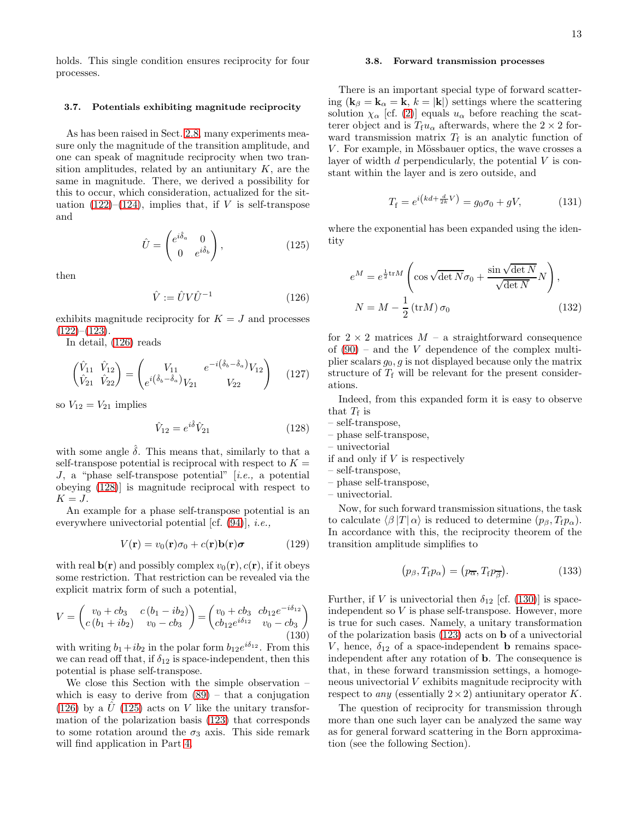holds. This single condition ensures reciprocity for four processes.

## <span id="page-12-0"></span>3.7. Potentials exhibiting magnitude reciprocity

As has been raised in Sect. [2.8,](#page-6-5) many experiments measure only the magnitude of the transition amplitude, and one can speak of magnitude reciprocity when two transition amplitudes, related by an antiunitary  $K$ , are the same in magnitude. There, we derived a possibility for this to occur, which consideration, actualized for the situation  $(122)$ – $(124)$ , implies that, if V is self-transpose and

<span id="page-12-3"></span>
$$
\hat{U} = \begin{pmatrix} e^{i\hat{\delta}_a} & 0\\ 0 & e^{i\hat{\delta}_b} \end{pmatrix},\tag{125}
$$

then

<span id="page-12-1"></span>
$$
\hat{V} := \hat{U}V\hat{U}^{-1} \tag{126}
$$

exhibits magnitude reciprocity for  $K = J$  and processes  $(122)–(123)$  $(122)–(123)$  $(122)–(123)$ .

In detail, [\(126\)](#page-12-1) reads

$$
\begin{pmatrix}\n\hat{V}_{11} & \hat{V}_{12} \\
\hat{V}_{21} & \hat{V}_{22}\n\end{pmatrix} = \begin{pmatrix}\nV_{11} & e^{-i(\hat{\delta}_b - \hat{\delta}_a)} V_{12} \\
e^{i(\hat{\delta}_b - \hat{\delta}_a)} V_{21} & V_{22}\n\end{pmatrix} (127)
$$

so  $V_{12} = V_{21}$  implies

<span id="page-12-2"></span>
$$
\hat{V}_{12} = e^{i\hat{\delta}} \hat{V}_{21} \tag{128}
$$

with some angle  $\delta$ . This means that, similarly to that a self-transpose potential is reciprocal with respect to  $K =$ J, a "phase self-transpose potential" [i.e., a potential obeying [\(128\)](#page-12-2)] is magnitude reciprocal with respect to  $K = J$ .

An example for a phase self-transpose potential is an everywhere univectorial potential [cf. [\(94\)](#page-8-2)], i.e.,

$$
V(\mathbf{r}) = v_0(\mathbf{r})\sigma_0 + c(\mathbf{r})\mathbf{b}(\mathbf{r})\boldsymbol{\sigma}
$$
 (129)

with real  $\mathbf{b}(\mathbf{r})$  and possibly complex  $v_0(\mathbf{r}), c(\mathbf{r})$ , if it obeys some restriction. That restriction can be revealed via the explicit matrix form of such a potential,

<span id="page-12-4"></span>
$$
V = \begin{pmatrix} v_0 + cb_3 & c(b_1 - ib_2) \\ c(b_1 + ib_2) & v_0 - cb_3 \end{pmatrix} = \begin{pmatrix} v_0 + cb_3 & cb_{12}e^{-i\delta_{12}} \\ cb_{12}e^{i\delta_{12}} & v_0 - cb_3 \end{pmatrix}
$$
(130)

with writing  $b_1 + ib_2$  in the polar form  $b_{12}e^{i\delta_{12}}$ . From this we can read off that, if  $\delta_{12}$  is space-independent, then this potential is phase self-transpose.

We close this Section with the simple observation – which is easy to derive from  $(89)$  – that a conjugation [\(126\)](#page-12-1) by a  $\hat{U}$  [\(125\)](#page-12-3) acts on V like the unitary transformation of the polarization basis [\(123\)](#page-11-3) that corresponds to some rotation around the  $\sigma_3$  axis. This side remark will find application in Part [4.](#page-13-0)

#### 3.8. Forward transmission processes

There is an important special type of forward scattering ( $\mathbf{k}_{\beta} = \mathbf{k}_{\alpha} = \mathbf{k}, k = |\mathbf{k}|$ ) settings where the scattering solution  $\chi_{\alpha}$  [cf. [\(2\)](#page-1-3)] equals  $u_{\alpha}$  before reaching the scatterer object and is  $T_f u_\alpha$  afterwards, where the  $2 \times 2$  forward transmission matrix  $T_f$  is an analytic function of  $V$ . For example, in Mössbauer optics, the wave crosses a layer of width  $d$  perpendicularly, the potential  $V$  is constant within the layer and is zero outside, and

$$
T_{\rm f} = e^{i(kd + \frac{d}{2k}V)} = g_0 \sigma_0 + gV,\tag{131}
$$

where the exponential has been expanded using the identity

$$
e^{M} = e^{\frac{1}{2}\text{tr}M} \left( \cos \sqrt{\det N} \sigma_0 + \frac{\sin \sqrt{\det N}}{\sqrt{\det N}} N \right),
$$
  

$$
N = M - \frac{1}{2} (\text{tr}M) \sigma_0
$$
 (132)

for  $2 \times 2$  matrices  $M - a$  straightforward consequence of  $(90)$  – and the V dependence of the complex multiplier scalars  $g_0$ ,  $g$  is not displayed because only the matrix structure of  $T_f$  will be relevant for the present considerations.

Indeed, from this expanded form it is easy to observe that  $T_f$  is

$$
- \hspace{0.1cm} \text{self-transpose},
$$

- phase self-transpose,
- univectorial
- if and only if V is respectively
- self-transpose,
- phase self-transpose,

– univectorial.

Now, for such forward transmission situations, the task to calculate  $\langle \beta |T | \alpha \rangle$  is reduced to determine  $(p_\beta, T_f p_\alpha)$ . In accordance with this, the reciprocity theorem of the transition amplitude simplifies to

$$
(p_{\beta}, T_{\text{f}} p_{\alpha}) = (p_{\overline{\alpha}}, T_{\text{f}} p_{\overline{\beta}}). \tag{133}
$$

Further, if V is univectorial then  $\delta_{12}$  [cf. [\(130\)](#page-12-4)] is spaceindependent so V is phase self-transpose. However, more is true for such cases. Namely, a unitary transformation of the polarization basis [\(123\)](#page-11-3) acts on b of a univectorial V, hence,  $\delta_{12}$  of a space-independent **b** remains spaceindependent after any rotation of b. The consequence is that, in these forward transmission settings, a homogeneous univectorial  $V$  exhibits magnitude reciprocity with respect to *any* (essentially  $2 \times 2$ ) antiunitary operator K.

The question of reciprocity for transmission through more than one such layer can be analyzed the same way as for general forward scattering in the Born approximation (see the following Section).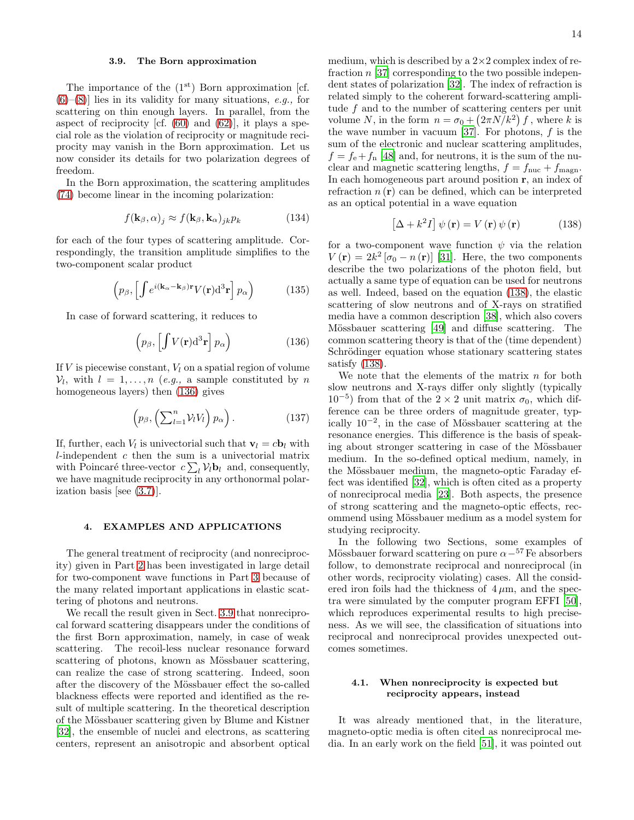#### <span id="page-13-2"></span>3.9. The Born approximation

The importance of the  $(1<sup>st</sup>)$  Born approximation [cf.  $(6)$ – $(8)$ ] lies in its validity for many situations, *e.g.*, for scattering on thin enough layers. In parallel, from the aspect of reciprocity [cf.  $(60)$  and  $(62)$ ], it plays a special role as the violation of reciprocity or magnitude reciprocity may vanish in the Born approximation. Let us now consider its details for two polarization degrees of freedom.

In the Born approximation, the scattering amplitudes [\(74\)](#page-7-7) become linear in the incoming polarization:

$$
f(\mathbf{k}_{\beta}, \alpha)_{j} \approx f(\mathbf{k}_{\beta}, \mathbf{k}_{\alpha})_{jk} p_{k}
$$
 (134)

for each of the four types of scattering amplitude. Correspondingly, the transition amplitude simplifies to the two-component scalar product

$$
\left(p_{\beta}, \left[\int e^{i(\mathbf{k}_{\alpha} - \mathbf{k}_{\beta})\mathbf{r}} V(\mathbf{r}) d^{3} \mathbf{r} \right] p_{\alpha} \right)
$$
 (135)

In case of forward scattering, it reduces to

<span id="page-13-1"></span>
$$
\left(p_{\beta}, \left[\int V(\mathbf{r}) d^3 \mathbf{r}\right] p_{\alpha}\right) \tag{136}
$$

If  $V$  is piecewise constant,  $V_l$  on a spatial region of volume  $V_l$ , with  $l = 1, ..., n$  (e.g., a sample constituted by n homogeneous layers) then [\(136\)](#page-13-1) gives

$$
\left(p_{\beta}, \left(\sum_{l=1}^{n} \mathcal{V}_{l} V_{l}\right) p_{\alpha}\right). \tag{137}
$$

If, further, each  $V_l$  is univectorial such that  $\mathbf{v}_l = c \mathbf{b}_l$  with  $l$ -independent  $c$  then the sum is a univectorial matrix with Poincaré three-vector  $c \sum_l \mathcal{V}_l \mathbf{b}_l$  and, consequently, we have magnitude reciprocity in any orthonormal polarization basis [see [\(3.7\)](#page-12-0)].

### <span id="page-13-0"></span>4. EXAMPLES AND APPLICATIONS

The general treatment of reciprocity (and nonreciprocity) given in Part [2](#page-1-0) has been investigated in large detail for two-component wave functions in Part [3](#page-6-0) because of the many related important applications in elastic scattering of photons and neutrons.

We recall the result given in Sect. [3.9](#page-13-2) that nonreciprocal forward scattering disappears under the conditions of the first Born approximation, namely, in case of weak scattering. The recoil-less nuclear resonance forward scattering of photons, known as Mössbauer scattering, can realize the case of strong scattering. Indeed, soon after the discovery of the Mössbauer effect the so-called blackness effects were reported and identified as the result of multiple scattering. In the theoretical description of the M¨ossbauer scattering given by Blume and Kistner [\[32\]](#page-16-29), the ensemble of nuclei and electrons, as scattering centers, represent an anisotropic and absorbent optical medium, which is described by a  $2\times 2$  complex index of refraction  $n$  [\[37](#page-16-34)] corresponding to the two possible independent states of polarization [\[32](#page-16-29)]. The index of refraction is related simply to the coherent forward-scattering amplitude  $f$  and to the number of scattering centers per unit volume N, in the form  $n = \sigma_0 + (2\pi N/k^2) f$ , where k is the wave number in vacuum [\[37\]](#page-16-34). For photons,  $f$  is the sum of the electronic and nuclear scattering amplitudes,  $f = f_e + f_n$  [\[48](#page-17-4)] and, for neutrons, it is the sum of the nuclear and magnetic scattering lengths,  $f = f_{\text{nuc}} + f_{\text{magn}}$ . In each homogeneous part around position r, an index of refraction  $n(\mathbf{r})$  can be defined, which can be interpreted as an optical potential in a wave equation

<span id="page-13-3"></span>
$$
\left[\Delta + k^2 I\right] \psi\left(\mathbf{r}\right) = V\left(\mathbf{r}\right)\psi\left(\mathbf{r}\right) \tag{138}
$$

for a two-component wave function  $\psi$  via the relation  $V(\mathbf{r}) = 2k^2 [\sigma_0 - n(\mathbf{r})]$  [\[31](#page-16-28)]. Here, the two components describe the two polarizations of the photon field, but actually a same type of equation can be used for neutrons as well. Indeed, based on the equation [\(138\)](#page-13-3), the elastic scattering of slow neutrons and of X-rays on stratified media have a common description [\[38\]](#page-16-35), which also covers Mössbauer scattering [\[49\]](#page-17-5) and diffuse scattering. The common scattering theory is that of the (time dependent) Schrödinger equation whose stationary scattering states satisfy [\(138\)](#page-13-3).

We note that the elements of the matrix  $n$  for both slow neutrons and X-rays differ only slightly (typically  $10^{-5}$ ) from that of the 2 × 2 unit matrix  $σ_0$ , which difference can be three orders of magnitude greater, typically  $10^{-2}$ , in the case of Mössbauer scattering at the resonance energies. This difference is the basis of speaking about stronger scattering in case of the Mössbauer medium. In the so-defined optical medium, namely, in the Mössbauer medium, the magneto-optic Faraday effect was identified [\[32](#page-16-29)], which is often cited as a property of nonreciprocal media [\[23\]](#page-16-20). Both aspects, the presence of strong scattering and the magneto-optic effects, recommend using Mössbauer medium as a model system for studying reciprocity.

In the following two Sections, some examples of Mössbauer forward scattering on pure  $\alpha$ <sup>-57</sup> Fe absorbers follow, to demonstrate reciprocal and nonreciprocal (in other words, reciprocity violating) cases. All the considered iron foils had the thickness of  $4 \mu m$ , and the spectra were simulated by the computer program EFFI [\[50\]](#page-17-6), which reproduces experimental results to high preciseness. As we will see, the classification of situations into reciprocal and nonreciprocal provides unexpected outcomes sometimes.

# 4.1. When nonreciprocity is expected but reciprocity appears, instead

It was already mentioned that, in the literature, magneto-optic media is often cited as nonreciprocal media. In an early work on the field [\[51](#page-17-7)], it was pointed out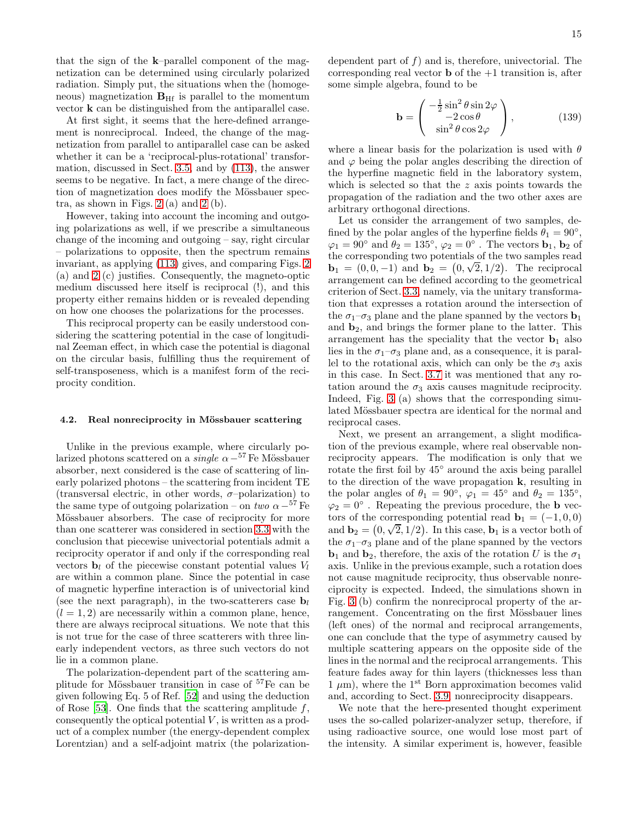that the sign of the k–parallel component of the magnetization can be determined using circularly polarized radiation. Simply put, the situations when the (homogeneous) magnetization  $B_{\text{Hf}}$  is parallel to the momentum vector k can be distinguished from the antiparallel case.

At first sight, it seems that the here-defined arrangement is nonreciprocal. Indeed, the change of the magnetization from parallel to antiparallel case can be asked whether it can be a 'reciprocal-plus-rotational' transformation, discussed in Sect. [3.5,](#page-10-0) and by [\(113\)](#page-10-2), the answer seems to be negative. In fact, a mere change of the direction of magnetization does modify the Mössbauer spectra, as shown in Figs. [2](#page-18-1) (a) and [2](#page-18-1) (b).

However, taking into account the incoming and outgoing polarizations as well, if we prescribe a simultaneous change of the incoming and outgoing – say, right circular – polarizations to opposite, then the spectrum remains invariant, as applying [\(113\)](#page-10-2) gives, and comparing Figs. [2](#page-18-1) (a) and [2](#page-18-1) (c) justifies. Consequently, the magneto-optic medium discussed here itself is reciprocal (!), and this property either remains hidden or is revealed depending on how one chooses the polarizations for the processes.

This reciprocal property can be easily understood considering the scattering potential in the case of longitudinal Zeeman effect, in which case the potential is diagonal on the circular basis, fulfilling thus the requirement of self-transposeness, which is a manifest form of the reciprocity condition.

#### 4.2. Real nonreciprocity in Mössbauer scattering

Unlike in the previous example, where circularly polarized photons scattered on a *single*  $\alpha - ^{57}$  Fe Mössbauer absorber, next considered is the case of scattering of linearly polarized photons – the scattering from incident TE (transversal electric, in other words,  $\sigma$ -polarization) to the same type of outgoing polarization – on two  $\alpha -^{57}$  Fe Mössbauer absorbers. The case of reciprocity for more than one scatterer was considered in section [3.3](#page-9-1) with the conclusion that piecewise univectorial potentials admit a reciprocity operator if and only if the corresponding real vectors  $\mathbf{b}_l$  of the piecewise constant potential values  $V_l$ are within a common plane. Since the potential in case of magnetic hyperfine interaction is of univectorial kind (see the next paragraph), in the two-scatterers case  $\mathbf{b}_l$  $(l = 1, 2)$  are necessarily within a common plane, hence, there are always reciprocal situations. We note that this is not true for the case of three scatterers with three linearly independent vectors, as three such vectors do not lie in a common plane.

The polarization-dependent part of the scattering amplitude for Mössbauer transition in case of  $57Fe$  can be given following Eq. 5 of Ref. [\[52](#page-17-8)] and using the deduction of Rose [\[53](#page-17-9)]. One finds that the scattering amplitude  $f$ , consequently the optical potential  $V$ , is written as a product of a complex number (the energy-dependent complex Lorentzian) and a self-adjoint matrix (the polarizationdependent part of  $f$ ) and is, therefore, univectorial. The corresponding real vector  $\bf{b}$  of the  $+1$  transition is, after some simple algebra, found to be

$$
\mathbf{b} = \begin{pmatrix} -\frac{1}{2}\sin^2\theta\sin 2\varphi \\ -2\cos\theta \\ \sin^2\theta\cos 2\varphi \end{pmatrix},
$$
(139)

where a linear basis for the polarization is used with  $\theta$ and  $\varphi$  being the polar angles describing the direction of the hyperfine magnetic field in the laboratory system, which is selected so that the z axis points towards the propagation of the radiation and the two other axes are arbitrary orthogonal directions.

Let us consider the arrangement of two samples, defined by the polar angles of the hyperfine fields  $\theta_1 = 90^\circ$ ,  $\varphi_1 = 90^\circ$  and  $\theta_2 = 135^\circ$ ,  $\varphi_2 = 0^\circ$ . The vectors  $\mathbf{b}_1$ ,  $\mathbf{b}_2$  of the corresponding two potentials of the two samples read  $\mathbf{b}_1 = (0, 0, -1)$  and  $\mathbf{b}_2 = (0, \sqrt{2}, 1/2)$ . The reciprocal arrangement can be defined according to the geometrical criterion of Sect. [3.3,](#page-9-1) namely, via the unitary transformation that expresses a rotation around the intersection of the  $\sigma_1-\sigma_3$  plane and the plane spanned by the vectors  $\mathbf{b}_1$ and  $\mathbf{b}_2$ , and brings the former plane to the latter. This arrangement has the speciality that the vector  $\mathbf{b}_1$  also lies in the  $\sigma_1-\sigma_3$  plane and, as a consequence, it is parallel to the rotational axis, which can only be the  $\sigma_3$  axis in this case. In Sect. [3.7](#page-12-0) it was mentioned that any rotation around the  $\sigma_3$  axis causes magnitude reciprocity. Indeed, Fig. [3](#page-19-0) (a) shows that the corresponding simulated Mössbauer spectra are identical for the normal and reciprocal cases.

Next, we present an arrangement, a slight modification of the previous example, where real observable nonreciprocity appears. The modification is only that we rotate the first foil by 45◦ around the axis being parallel to the direction of the wave propagation k, resulting in the polar angles of  $\theta_1 = 90^\circ$ ,  $\varphi_1 = 45^\circ$  and  $\theta_2 = 135^\circ$ ,  $\varphi_2 = 0^\circ$ . Repeating the previous procedure, the **b** vectors of the corresponding potential read  $\mathbf{b}_1 = (-1, 0, 0)$ and  $\mathbf{b}_2 = (0, \sqrt{2}, 1/2)$ . In this case,  $\mathbf{b}_1$  is a vector both of the  $\sigma_1-\sigma_3$  plane and of the plane spanned by the vectors  $\mathbf{b}_1$  and  $\mathbf{b}_2$ , therefore, the axis of the rotation U is the  $\sigma_1$ axis. Unlike in the previous example, such a rotation does not cause magnitude reciprocity, thus observable nonreciprocity is expected. Indeed, the simulations shown in Fig. [3](#page-19-0) (b) confirm the nonreciprocal property of the arrangement. Concentrating on the first Mössbauer lines (left ones) of the normal and reciprocal arrangements, one can conclude that the type of asymmetry caused by multiple scattering appears on the opposite side of the lines in the normal and the reciprocal arrangements. This feature fades away for thin layers (thicknesses less than  $1 \mu m$ , where the 1<sup>st</sup> Born approximation becomes valid and, according to Sect. [3.9,](#page-13-2) nonreciprocity disappears.

We note that the here-presented thought experiment uses the so-called polarizer-analyzer setup, therefore, if using radioactive source, one would lose most part of the intensity. A similar experiment is, however, feasible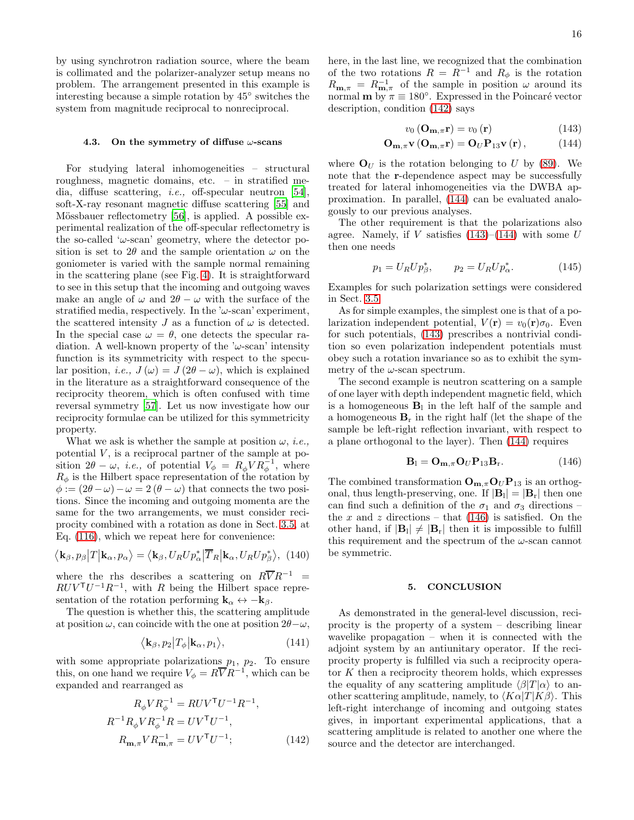by using synchrotron radiation source, where the beam is collimated and the polarizer-analyzer setup means no problem. The arrangement presented in this example is interesting because a simple rotation by 45◦ switches the system from magnitude reciprocal to nonreciprocal.

### 4.3. On the symmetry of diffuse  $\omega$ -scans

For studying lateral inhomogeneities – structural roughness, magnetic domains, etc. – in stratified media, diffuse scattering, i.e., off-specular neutron [\[54\]](#page-17-10), soft-X-ray resonant magnetic diffuse scattering [\[55\]](#page-17-11) and Mössbauer reflectometry [\[56\]](#page-17-12), is applied. A possible experimental realization of the off-specular reflectometry is the so-called ' $\omega$ -scan' geometry, where the detector position is set to 2 $\theta$  and the sample orientation  $\omega$  on the goniometer is varied with the sample normal remaining in the scattering plane (see Fig. [4\)](#page-19-1). It is straightforward to see in this setup that the incoming and outgoing waves make an angle of  $\omega$  and  $2\theta - \omega$  with the surface of the stratified media, respectively. In the ' $\omega$ -scan' experiment, the scattered intensity J as a function of  $\omega$  is detected. In the special case  $\omega = \theta$ , one detects the specular radiation. A well-known property of the ' $\omega$ -scan' intensity function is its symmetricity with respect to the specular position, *i.e.*,  $J(\omega) = J(2\theta - \omega)$ , which is explained in the literature as a straightforward consequence of the reciprocity theorem, which is often confused with time reversal symmetry [\[57\]](#page-17-13). Let us now investigate how our reciprocity formulae can be utilized for this symmetricity property.

What we ask is whether the sample at position  $\omega$ , *i.e.*, potential  $V$ , is a reciprocal partner of the sample at position  $2\theta - \omega$ , *i.e.*, of potential  $V_{\phi} = R_{\phi} V R_{\phi}^{-1}$ , where  $R_{\phi}$  is the Hilbert space representation of the rotation by  $\phi := (2\theta - \omega) - \omega = 2(\theta - \omega)$  that connects the two positions. Since the incoming and outgoing momenta are the same for the two arrangements, we must consider reciprocity combined with a rotation as done in Sect. [3.5,](#page-10-0) at Eq. [\(116\)](#page-11-4), which we repeat here for convenience:

$$
\langle \mathbf{k}_{\beta}, p_{\beta} | T | \mathbf{k}_{\alpha}, p_{\alpha} \rangle = \langle \mathbf{k}_{\beta}, U_{R} U p_{\alpha}^{*} | \overline{T}_{R} | \mathbf{k}_{\alpha}, U_{R} U p_{\beta}^{*} \rangle, (140)
$$

where the rhs describes a scattering on  $R\overline{V}R^{-1}$  =  $RUV^{\mathsf{T}}U^{-1}R^{-1}$ , with R being the Hilbert space representation of the rotation performing  $\mathbf{k}_{\alpha} \leftrightarrow -\mathbf{k}_{\beta}$ .

The question is whether this, the scattering amplitude at position  $\omega$ , can coincide with the one at position  $2\theta - \omega$ ,

$$
\langle \mathbf{k}_{\beta}, p_2 | T_{\phi} | \mathbf{k}_{\alpha}, p_1 \rangle, \tag{141}
$$

with some appropriate polarizations  $p_1$ ,  $p_2$ . To ensure this, on one hand we require  $V_{\phi} = R\overline{V}R^{-1}$ , which can be expanded and rearranged as

$$
R_{\phi}VR_{\phi}^{-1} = RUV^{\mathsf{T}}U^{-1}R^{-1},
$$
  
\n
$$
R^{-1}R_{\phi}VR_{\phi}^{-1}R = UV^{\mathsf{T}}U^{-1},
$$
  
\n
$$
R_{\mathbf{m},\pi}VR_{\mathbf{m},\pi}^{-1} = UV^{\mathsf{T}}U^{-1};
$$
\n(142)

here, in the last line, we recognized that the combination of the two rotations  $R = R^{-1}$  and  $R_{\phi}$  is the rotation  $R_{\mathbf{m},\pi} = R_{\mathbf{m},\pi}^{-1}$  of the sample in position  $\omega$  around its normal **m** by  $\pi \equiv 180^\circ$ . Expressed in the Poincaré vector description, condition [\(142\)](#page-15-0) says

<span id="page-15-2"></span><span id="page-15-1"></span>
$$
v_0\left(\mathbf{O}_{\mathbf{m},\pi}\mathbf{r}\right) = v_0\left(\mathbf{r}\right) \tag{143}
$$

$$
\mathbf{O}_{\mathbf{m},\pi}\mathbf{v}\left(\mathbf{O}_{\mathbf{m},\pi}\mathbf{r}\right) = \mathbf{O}_{U}\mathbf{P}_{13}\mathbf{v}\left(\mathbf{r}\right),\tag{144}
$$

where  $\mathbf{O}_U$  is the rotation belonging to U by [\(89\)](#page-8-1). We note that the r-dependence aspect may be successfully treated for lateral inhomogeneities via the DWBA approximation. In parallel, [\(144\)](#page-15-1) can be evaluated analogously to our previous analyses.

The other requirement is that the polarizations also agree. Namely, if V satisfies  $(143)$ – $(144)$  with some U then one needs

$$
p_1 = U_R U p_\beta^*, \qquad p_2 = U_R U p_\alpha^*.
$$
 (145)

Examples for such polarization settings were considered in Sect. [3.5.](#page-10-0)

As for simple examples, the simplest one is that of a polarization independent potential,  $V(\mathbf{r}) = v_0(\mathbf{r})\sigma_0$ . Even for such potentials, [\(143\)](#page-15-2) prescribes a nontrivial condition so even polarization independent potentials must obey such a rotation invariance so as to exhibit the symmetry of the  $\omega$ -scan spectrum.

The second example is neutron scattering on a sample of one layer with depth independent magnetic field, which is a homogeneous  $\mathbf{B}_1$  in the left half of the sample and a homogeneous  $\mathbf{B}_r$  in the right half (let the shape of the sample be left-right reflection invariant, with respect to a plane orthogonal to the layer). Then [\(144\)](#page-15-1) requires

<span id="page-15-3"></span>
$$
\mathbf{B}_{l} = \mathbf{O}_{\mathbf{m}, \pi} \mathbf{O}_{U} \mathbf{P}_{13} \mathbf{B}_{r}.
$$
 (146)

The combined transformation  $O_{m,\pi}O_UP_{13}$  is an orthogonal, thus length-preserving, one. If  $|\mathbf{B}_1| = |\mathbf{B}_r|$  then one can find such a definition of the  $\sigma_1$  and  $\sigma_3$  directions – the x and z directions – that  $(146)$  is satisfied. On the other hand, if  $|\mathbf{B}_1| \neq |\mathbf{B}_r|$  then it is impossible to fulfill this requirement and the spectrum of the  $\omega$ -scan cannot be symmetric.

### 5. CONCLUSION

<span id="page-15-0"></span>As demonstrated in the general-level discussion, reciprocity is the property of a system – describing linear wavelike propagation – when it is connected with the adjoint system by an antiunitary operator. If the reciprocity property is fulfilled via such a reciprocity operator  $K$  then a reciprocity theorem holds, which expresses the equality of any scattering amplitude  $\langle \beta | T | \alpha \rangle$  to another scattering amplitude, namely, to  $\langle K\alpha|T|K\beta\rangle$ . This left-right interchange of incoming and outgoing states gives, in important experimental applications, that a scattering amplitude is related to another one where the source and the detector are interchanged.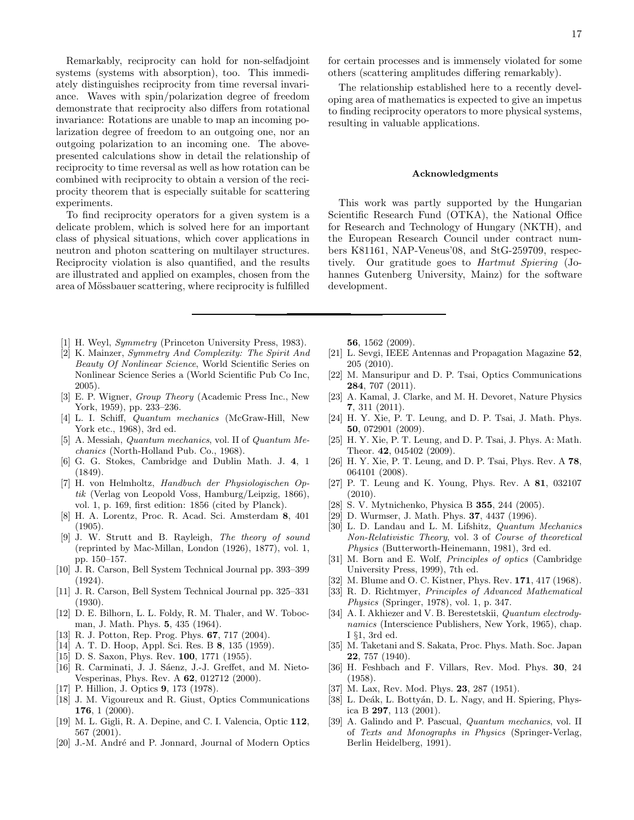Remarkably, reciprocity can hold for non-selfadjoint systems (systems with absorption), too. This immediately distinguishes reciprocity from time reversal invariance. Waves with spin/polarization degree of freedom demonstrate that reciprocity also differs from rotational invariance: Rotations are unable to map an incoming polarization degree of freedom to an outgoing one, nor an outgoing polarization to an incoming one. The abovepresented calculations show in detail the relationship of reciprocity to time reversal as well as how rotation can be combined with reciprocity to obtain a version of the reciprocity theorem that is especially suitable for scattering experiments.

To find reciprocity operators for a given system is a delicate problem, which is solved here for an important class of physical situations, which cover applications in neutron and photon scattering on multilayer structures. Reciprocity violation is also quantified, and the results are illustrated and applied on examples, chosen from the area of Mössbauer scattering, where reciprocity is fulfilled

- <span id="page-16-0"></span>[1] H. Weyl, *Symmetry* (Princeton University Press, 1983).
- <span id="page-16-1"></span>[2] K. Mainzer, *Symmetry And Complexity: The Spirit And Beauty Of Nonlinear Science*, World Scientific Series on Nonlinear Science Series a (World Scientific Pub Co Inc, 2005).
- <span id="page-16-2"></span>[3] E. P. Wigner, *Group Theory* (Academic Press Inc., New York, 1959), pp. 233–236.
- <span id="page-16-3"></span>[4] L. I. Schiff, *Quantum mechanics* (McGraw-Hill, New York etc., 1968), 3rd ed.
- <span id="page-16-4"></span>[5] A. Messiah, *Quantum mechanics*, vol. II of *Quantum Mechanics* (North-Holland Pub. Co., 1968).
- <span id="page-16-5"></span>[6] G. G. Stokes, Cambridge and Dublin Math. J. 4, 1 (1849).
- <span id="page-16-6"></span>[7] H. von Helmholtz, *Handbuch der Physiologischen Optik* (Verlag von Leopold Voss, Hamburg/Leipzig, 1866), vol. 1, p. 169, first edition: 1856 (cited by Planck).
- <span id="page-16-7"></span>[8] H. A. Lorentz, Proc. R. Acad. Sci. Amsterdam 8, 401 (1905).
- <span id="page-16-8"></span>[9] J. W. Strutt and B. Rayleigh, *The theory of sound* (reprinted by Mac-Millan, London (1926), 1877), vol. 1, pp. 150–157.
- <span id="page-16-9"></span>[10] J. R. Carson, Bell System Technical Journal pp. 393–399 (1924).
- <span id="page-16-10"></span>[11] J. R. Carson, Bell System Technical Journal pp. 325–331 (1930).
- <span id="page-16-11"></span>[12] D. E. Bilhorn, L. L. Foldy, R. M. Thaler, and W. Tobocman, J. Math. Phys. 5, 435 (1964).
- <span id="page-16-12"></span>[13] R. J. Potton, Rep. Prog. Phys. 67, 717 (2004).
- <span id="page-16-13"></span>[14] A. T. D. Hoop, Appl. Sci. Res. B 8, 135 (1959).
- [15] D. S. Saxon, Phys. Rev. **100**, 1771 (1955).
- [16] R. Carminati, J. J. Sáenz, J.-J. Greffet, and M. Nieto-Vesperinas, Phys. Rev. A 62, 012712 (2000).
- <span id="page-16-14"></span>[17] P. Hillion, J. Optics 9, 173 (1978).
- <span id="page-16-15"></span>[18] J. M. Vigoureux and R. Giust, Optics Communications 176, 1 (2000).
- <span id="page-16-16"></span>[19] M. L. Gigli, R. A. Depine, and C. I. Valencia, Optic 112, 567 (2001).
- <span id="page-16-17"></span>[20] J.-M. André and P. Jonnard, Journal of Modern Optics

for certain processes and is immensely violated for some others (scattering amplitudes differing remarkably).

The relationship established here to a recently developing area of mathematics is expected to give an impetus to finding reciprocity operators to more physical systems, resulting in valuable applications.

#### Acknowledgments

This work was partly supported by the Hungarian Scientific Research Fund (OTKA), the National Office for Research and Technology of Hungary (NKTH), and the European Research Council under contract numbers K81161, NAP-Veneus'08, and StG-259709, respectively. Our gratitude goes to Hartmut Spiering (Johannes Gutenberg University, Mainz) for the software development.

56, 1562 (2009).

- <span id="page-16-18"></span>[21] L. Sevgi, IEEE Antennas and Propagation Magazine 52, 205 (2010).
- <span id="page-16-19"></span>[22] M. Mansuripur and D. P. Tsai, Optics Communications 284, 707 (2011).
- <span id="page-16-20"></span>[23] A. Kamal, J. Clarke, and M. H. Devoret, Nature Physics 7, 311 (2011).
- <span id="page-16-21"></span>[24] H. Y. Xie, P. T. Leung, and D. P. Tsai, J. Math. Phys. 50, 072901 (2009).
- <span id="page-16-22"></span>[25] H. Y. Xie, P. T. Leung, and D. P. Tsai, J. Phys. A: Math. Theor. 42, 045402 (2009).
- <span id="page-16-23"></span>[26] H. Y. Xie, P. T. Leung, and D. P. Tsai, Phys. Rev. A 78, 064101 (2008).
- <span id="page-16-24"></span>[27] P. T. Leung and K. Young, Phys. Rev. A 81, 032107 (2010).
- <span id="page-16-25"></span>[28] S. V. Mytnichenko, Physica B 355, 244 (2005).
- <span id="page-16-26"></span>[29] D. Wurmser, J. Math. Phys. 37, 4437 (1996).
- <span id="page-16-27"></span>[30] L. D. Landau and L. M. Lifshitz, *Quantum Mechanics Non-Relativistic Theory*, vol. 3 of *Course of theoretical Physics* (Butterworth-Heinemann, 1981), 3rd ed.
- <span id="page-16-28"></span>[31] M. Born and E. Wolf, *Principles of optics* (Cambridge University Press, 1999), 7th ed.
- <span id="page-16-29"></span>[32] M. Blume and O. C. Kistner, Phys. Rev. 171, 417 (1968).
- <span id="page-16-30"></span>[33] R. D. Richtmyer, *Principles of Advanced Mathematical Physics* (Springer, 1978), vol. 1, p. 347.
- <span id="page-16-31"></span>[34] A. I. Akhiezer and V. B. Berestetskii, *Quantum electrodynamics* (Interscience Publishers, New York, 1965), chap. I §1, 3rd ed.
- <span id="page-16-32"></span>[35] M. Taketani and S. Sakata, Proc. Phys. Math. Soc. Japan 22, 757 (1940).
- <span id="page-16-33"></span>[36] H. Feshbach and F. Villars, Rev. Mod. Phys. 30, 24 (1958).
- <span id="page-16-34"></span>[37] M. Lax, Rev. Mod. Phys. **23**, 287 (1951).
- <span id="page-16-35"></span>[38] L. Deák, L. Bottyán, D. L. Nagy, and H. Spiering, Physica B 297, 113 (2001).
- <span id="page-16-36"></span>[39] A. Galindo and P. Pascual, *Quantum mechanics*, vol. II of *Texts and Monographs in Physics* (Springer-Verlag, Berlin Heidelberg, 1991).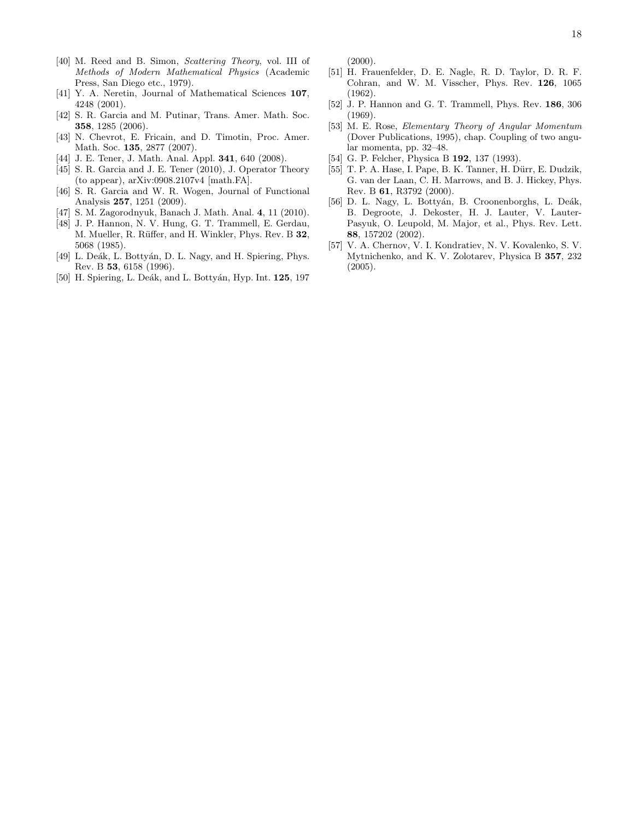- <span id="page-17-0"></span>[40] M. Reed and B. Simon, *Scattering Theory*, vol. III of *Methods of Modern Mathematical Physics* (Academic Press, San Diego etc., 1979).
- <span id="page-17-1"></span>[41] Y. A. Neretin, Journal of Mathematical Sciences 107, 4248 (2001).
- [42] S. R. Garcia and M. Putinar, Trans. Amer. Math. Soc. 358, 1285 (2006).
- [43] N. Chevrot, E. Fricain, and D. Timotin, Proc. Amer. Math. Soc. 135, 2877 (2007).
- [44] J. E. Tener, J. Math. Anal. Appl. **341**, 640 (2008).
- <span id="page-17-3"></span>[45] S. R. Garcia and J. E. Tener (2010), J. Operator Theory (to appear), arXiv:0908.2107v4 [math.FA].
- [46] S. R. Garcia and W. R. Wogen, Journal of Functional Analysis 257, 1251 (2009).
- <span id="page-17-2"></span>[47] S. M. Zagorodnyuk, Banach J. Math. Anal. 4, 11 (2010).
- <span id="page-17-4"></span>[48] J. P. Hannon, N. V. Hung, G. T. Trammell, E. Gerdau, M. Mueller, R. Rüffer, and H. Winkler, Phys. Rev. B 32, 5068 (1985).
- <span id="page-17-5"></span>[49] L. Deák, L. Bottyán, D. L. Nagy, and H. Spiering, Phys. Rev. B 53, 6158 (1996).
- <span id="page-17-6"></span>[50] H. Spiering, L. Deák, and L. Bottyán, Hyp. Int. 125, 197

(2000).

- <span id="page-17-7"></span>[51] H. Frauenfelder, D. E. Nagle, R. D. Taylor, D. R. F. Cohran, and W. M. Visscher, Phys. Rev. 126, 1065 (1962).
- <span id="page-17-8"></span>[52] J. P. Hannon and G. T. Trammell, Phys. Rev. 186, 306 (1969).
- <span id="page-17-9"></span>[53] M. E. Rose, *Elementary Theory of Angular Momentum* (Dover Publications, 1995), chap. Coupling of two angular momenta, pp. 32–48.
- <span id="page-17-10"></span>[54] G. P. Felcher, Physica B **192**, 137 (1993).
- <span id="page-17-11"></span>[55] T. P. A. Hase, I. Pape, B. K. Tanner, H. Dürr, E. Dudzik, G. van der Laan, C. H. Marrows, and B. J. Hickey, Phys. Rev. B 61, R3792 (2000).
- <span id="page-17-12"></span>[56] D. L. Nagy, L. Bottyán, B. Croonenborghs, L. Deák, B. Degroote, J. Dekoster, H. J. Lauter, V. Lauter-Pasyuk, O. Leupold, M. Major, et al., Phys. Rev. Lett. 88, 157202 (2002).
- <span id="page-17-13"></span>[57] V. A. Chernov, V. I. Kondratiev, N. V. Kovalenko, S. V. Mytnichenko, and K. V. Zolotarev, Physica B 357, 232 (2005).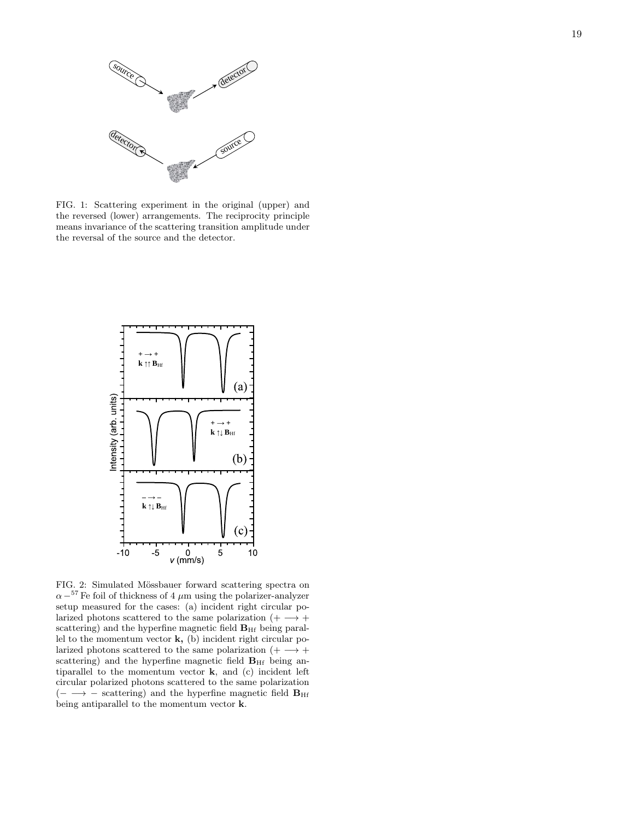

<span id="page-18-0"></span>FIG. 1: Scattering experiment in the original (upper) and the reversed (lower) arrangements. The reciprocity principle means invariance of the scattering transition amplitude under the reversal of the source and the detector.



<span id="page-18-1"></span>FIG. 2: Simulated Mössbauer forward scattering spectra on  $\alpha$  –<sup>57</sup> Fe foil of thickness of 4  $\mu$ m using the polarizer-analyzer setup measured for the cases: (a) incident right circular polarized photons scattered to the same polarization  $(+) \rightarrow +$ scattering) and the hyperfine magnetic field  $B_{\text{Hf}}$  being parallel to the momentum vector  $k$ , (b) incident right circular polarized photons scattered to the same polarization  $( + \longrightarrow +$ scattering) and the hyperfine magnetic field  $B<sub>HF</sub>$  being antiparallel to the momentum vector k, and (c) incident left circular polarized photons scattered to the same polarization  $(- \rightarrow -$  scattering) and the hyperfine magnetic field  $B_{\text{Hf}}$ being antiparallel to the momentum vector k.